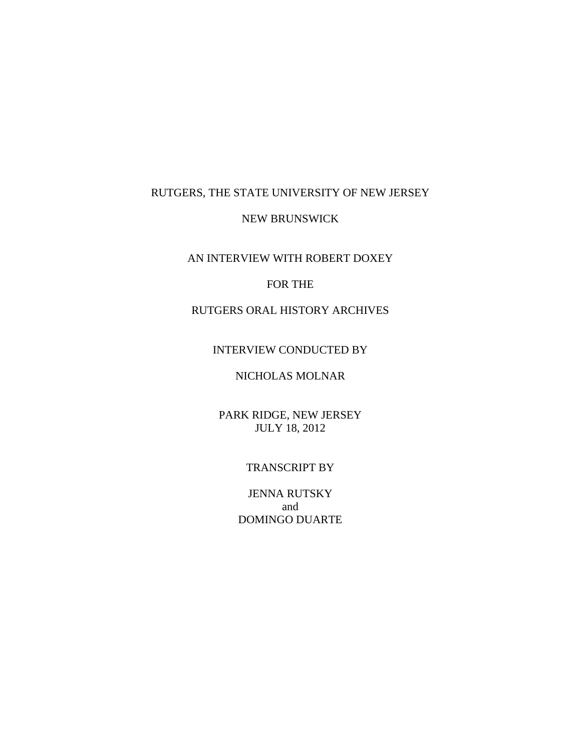## RUTGERS, THE STATE UNIVERSITY OF NEW JERSEY

#### NEW BRUNSWICK

AN INTERVIEW WITH ROBERT DOXEY

### FOR THE

# RUTGERS ORAL HISTORY ARCHIVES

### INTERVIEW CONDUCTED BY

# NICHOLAS MOLNAR

# PARK RIDGE, NEW JERSEY JULY 18, 2012

#### TRANSCRIPT BY

JENNA RUTSKY and DOMINGO DUARTE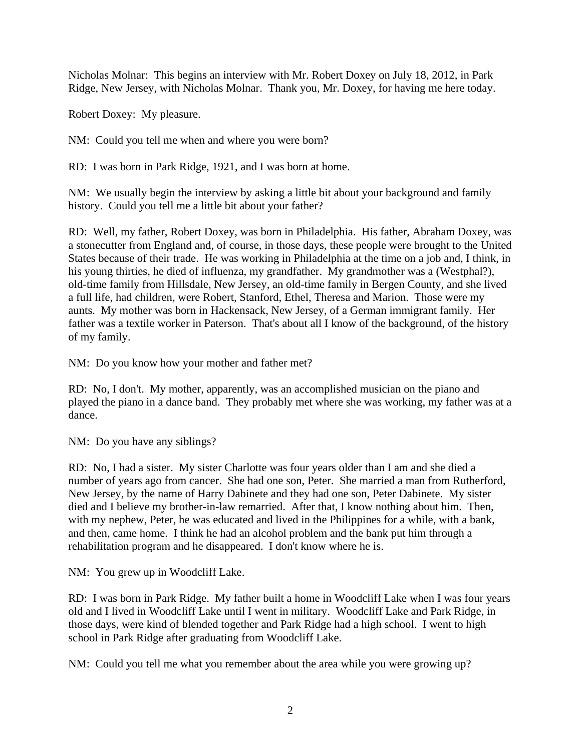Nicholas Molnar: This begins an interview with Mr. Robert Doxey on July 18, 2012, in Park Ridge, New Jersey, with Nicholas Molnar. Thank you, Mr. Doxey, for having me here today.

Robert Doxey: My pleasure.

NM: Could you tell me when and where you were born?

RD: I was born in Park Ridge, 1921, and I was born at home.

NM: We usually begin the interview by asking a little bit about your background and family history. Could you tell me a little bit about your father?

RD: Well, my father, Robert Doxey, was born in Philadelphia. His father, Abraham Doxey, was a stonecutter from England and, of course, in those days, these people were brought to the United States because of their trade. He was working in Philadelphia at the time on a job and, I think, in his young thirties, he died of influenza, my grandfather. My grandmother was a (Westphal?), old-time family from Hillsdale, New Jersey, an old-time family in Bergen County, and she lived a full life, had children, were Robert, Stanford, Ethel, Theresa and Marion. Those were my aunts. My mother was born in Hackensack, New Jersey, of a German immigrant family. Her father was a textile worker in Paterson. That's about all I know of the background, of the history of my family.

NM: Do you know how your mother and father met?

RD: No, I don't. My mother, apparently, was an accomplished musician on the piano and played the piano in a dance band. They probably met where she was working, my father was at a dance.

NM: Do you have any siblings?

RD: No, I had a sister. My sister Charlotte was four years older than I am and she died a number of years ago from cancer. She had one son, Peter. She married a man from Rutherford, New Jersey, by the name of Harry Dabinete and they had one son, Peter Dabinete. My sister died and I believe my brother-in-law remarried. After that, I know nothing about him. Then, with my nephew, Peter, he was educated and lived in the Philippines for a while, with a bank, and then, came home. I think he had an alcohol problem and the bank put him through a rehabilitation program and he disappeared. I don't know where he is.

NM: You grew up in Woodcliff Lake.

RD: I was born in Park Ridge. My father built a home in Woodcliff Lake when I was four years old and I lived in Woodcliff Lake until I went in military. Woodcliff Lake and Park Ridge, in those days, were kind of blended together and Park Ridge had a high school. I went to high school in Park Ridge after graduating from Woodcliff Lake.

NM: Could you tell me what you remember about the area while you were growing up?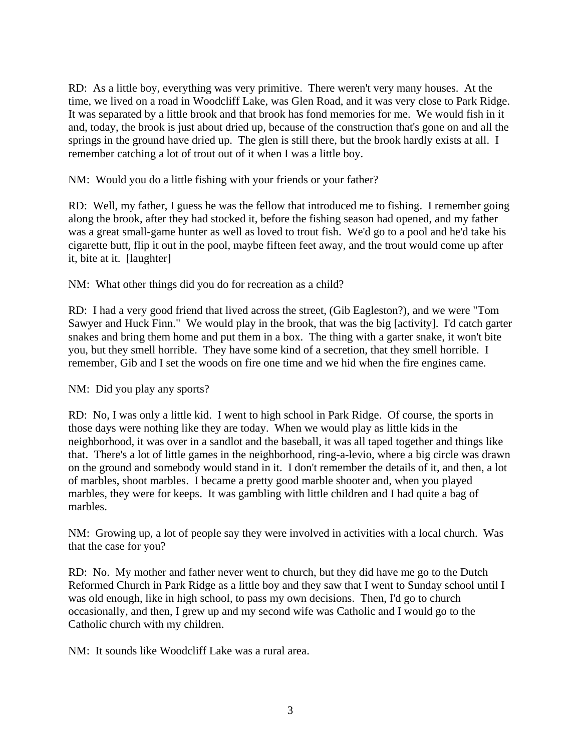RD: As a little boy, everything was very primitive. There weren't very many houses. At the time, we lived on a road in Woodcliff Lake, was Glen Road, and it was very close to Park Ridge. It was separated by a little brook and that brook has fond memories for me. We would fish in it and, today, the brook is just about dried up, because of the construction that's gone on and all the springs in the ground have dried up. The glen is still there, but the brook hardly exists at all. I remember catching a lot of trout out of it when I was a little boy.

NM: Would you do a little fishing with your friends or your father?

RD: Well, my father, I guess he was the fellow that introduced me to fishing. I remember going along the brook, after they had stocked it, before the fishing season had opened, and my father was a great small-game hunter as well as loved to trout fish. We'd go to a pool and he'd take his cigarette butt, flip it out in the pool, maybe fifteen feet away, and the trout would come up after it, bite at it. [laughter]

NM: What other things did you do for recreation as a child?

RD: I had a very good friend that lived across the street, (Gib Eagleston?), and we were "Tom Sawyer and Huck Finn." We would play in the brook, that was the big [activity]. I'd catch garter snakes and bring them home and put them in a box. The thing with a garter snake, it won't bite you, but they smell horrible. They have some kind of a secretion, that they smell horrible. I remember, Gib and I set the woods on fire one time and we hid when the fire engines came.

NM: Did you play any sports?

RD: No, I was only a little kid. I went to high school in Park Ridge. Of course, the sports in those days were nothing like they are today. When we would play as little kids in the neighborhood, it was over in a sandlot and the baseball, it was all taped together and things like that. There's a lot of little games in the neighborhood, ring-a-levio, where a big circle was drawn on the ground and somebody would stand in it. I don't remember the details of it, and then, a lot of marbles, shoot marbles. I became a pretty good marble shooter and, when you played marbles, they were for keeps. It was gambling with little children and I had quite a bag of marbles.

NM: Growing up, a lot of people say they were involved in activities with a local church. Was that the case for you?

RD: No. My mother and father never went to church, but they did have me go to the Dutch Reformed Church in Park Ridge as a little boy and they saw that I went to Sunday school until I was old enough, like in high school, to pass my own decisions. Then, I'd go to church occasionally, and then, I grew up and my second wife was Catholic and I would go to the Catholic church with my children.

NM: It sounds like Woodcliff Lake was a rural area.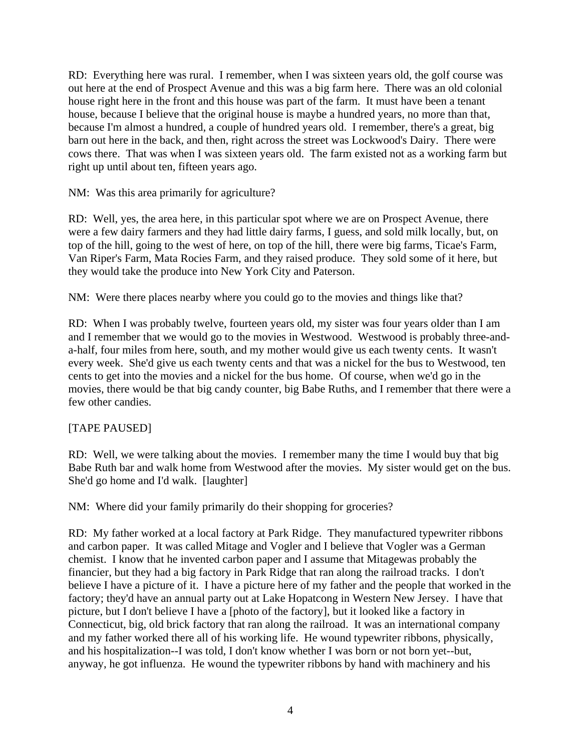RD: Everything here was rural. I remember, when I was sixteen years old, the golf course was out here at the end of Prospect Avenue and this was a big farm here. There was an old colonial house right here in the front and this house was part of the farm. It must have been a tenant house, because I believe that the original house is maybe a hundred years, no more than that, because I'm almost a hundred, a couple of hundred years old. I remember, there's a great, big barn out here in the back, and then, right across the street was Lockwood's Dairy. There were cows there. That was when I was sixteen years old. The farm existed not as a working farm but right up until about ten, fifteen years ago.

NM: Was this area primarily for agriculture?

RD: Well, yes, the area here, in this particular spot where we are on Prospect Avenue, there were a few dairy farmers and they had little dairy farms, I guess, and sold milk locally, but, on top of the hill, going to the west of here, on top of the hill, there were big farms, Ticae's Farm, Van Riper's Farm, Mata Rocies Farm, and they raised produce. They sold some of it here, but they would take the produce into New York City and Paterson.

NM: Were there places nearby where you could go to the movies and things like that?

RD: When I was probably twelve, fourteen years old, my sister was four years older than I am and I remember that we would go to the movies in Westwood. Westwood is probably three-anda-half, four miles from here, south, and my mother would give us each twenty cents. It wasn't every week. She'd give us each twenty cents and that was a nickel for the bus to Westwood, ten cents to get into the movies and a nickel for the bus home. Of course, when we'd go in the movies, there would be that big candy counter, big Babe Ruths, and I remember that there were a few other candies.

### [TAPE PAUSED]

RD: Well, we were talking about the movies. I remember many the time I would buy that big Babe Ruth bar and walk home from Westwood after the movies. My sister would get on the bus. She'd go home and I'd walk. [laughter]

NM: Where did your family primarily do their shopping for groceries?

RD: My father worked at a local factory at Park Ridge. They manufactured typewriter ribbons and carbon paper. It was called Mitage and Vogler and I believe that Vogler was a German chemist. I know that he invented carbon paper and I assume that Mitagewas probably the financier, but they had a big factory in Park Ridge that ran along the railroad tracks. I don't believe I have a picture of it. I have a picture here of my father and the people that worked in the factory; they'd have an annual party out at Lake Hopatcong in Western New Jersey. I have that picture, but I don't believe I have a [photo of the factory], but it looked like a factory in Connecticut, big, old brick factory that ran along the railroad. It was an international company and my father worked there all of his working life. He wound typewriter ribbons, physically, and his hospitalization--I was told, I don't know whether I was born or not born yet--but, anyway, he got influenza. He wound the typewriter ribbons by hand with machinery and his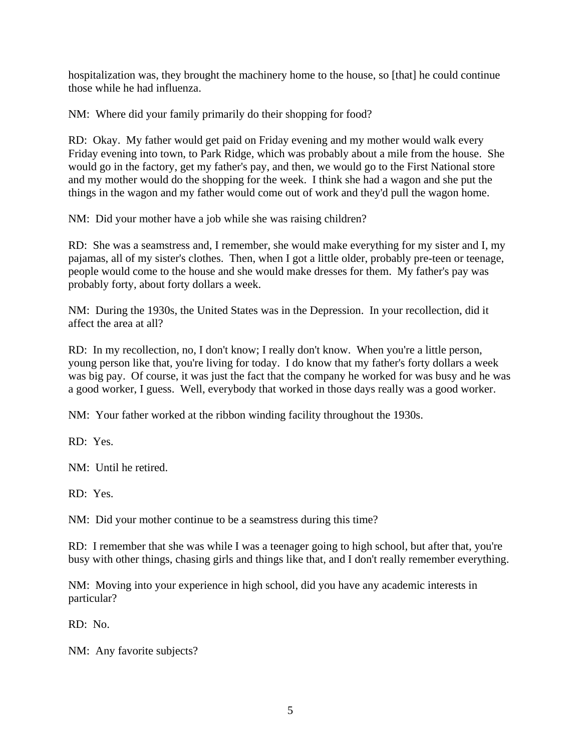hospitalization was, they brought the machinery home to the house, so [that] he could continue those while he had influenza.

NM: Where did your family primarily do their shopping for food?

RD: Okay. My father would get paid on Friday evening and my mother would walk every Friday evening into town, to Park Ridge, which was probably about a mile from the house. She would go in the factory, get my father's pay, and then, we would go to the First National store and my mother would do the shopping for the week. I think she had a wagon and she put the things in the wagon and my father would come out of work and they'd pull the wagon home.

NM: Did your mother have a job while she was raising children?

RD: She was a seamstress and, I remember, she would make everything for my sister and I, my pajamas, all of my sister's clothes. Then, when I got a little older, probably pre-teen or teenage, people would come to the house and she would make dresses for them. My father's pay was probably forty, about forty dollars a week.

NM: During the 1930s, the United States was in the Depression. In your recollection, did it affect the area at all?

RD: In my recollection, no, I don't know; I really don't know. When you're a little person, young person like that, you're living for today. I do know that my father's forty dollars a week was big pay. Of course, it was just the fact that the company he worked for was busy and he was a good worker, I guess. Well, everybody that worked in those days really was a good worker.

NM: Your father worked at the ribbon winding facility throughout the 1930s.

RD: Yes.

NM: Until he retired.

RD: Yes.

NM: Did your mother continue to be a seamstress during this time?

RD: I remember that she was while I was a teenager going to high school, but after that, you're busy with other things, chasing girls and things like that, and I don't really remember everything.

NM: Moving into your experience in high school, did you have any academic interests in particular?

RD: No.

NM: Any favorite subjects?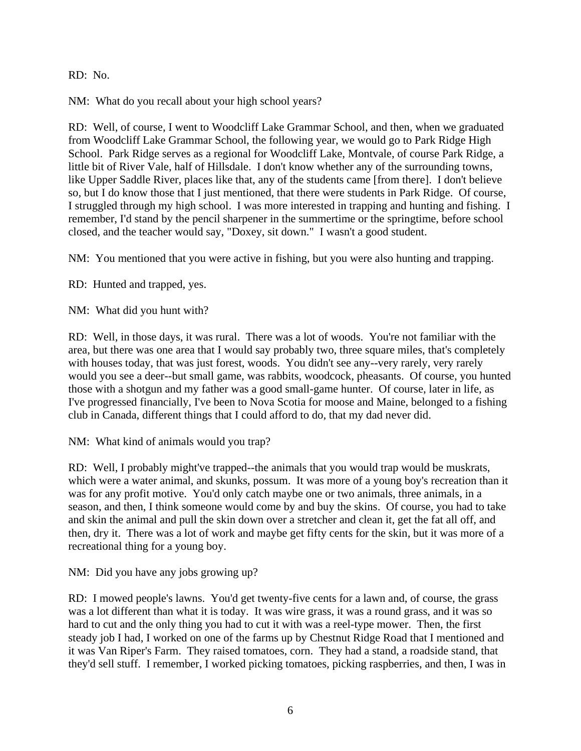RD: No.

NM: What do you recall about your high school years?

RD: Well, of course, I went to Woodcliff Lake Grammar School, and then, when we graduated from Woodcliff Lake Grammar School, the following year, we would go to Park Ridge High School. Park Ridge serves as a regional for Woodcliff Lake, Montvale, of course Park Ridge, a little bit of River Vale, half of Hillsdale. I don't know whether any of the surrounding towns, like Upper Saddle River, places like that, any of the students came [from there]. I don't believe so, but I do know those that I just mentioned, that there were students in Park Ridge. Of course, I struggled through my high school. I was more interested in trapping and hunting and fishing. I remember, I'd stand by the pencil sharpener in the summertime or the springtime, before school closed, and the teacher would say, "Doxey, sit down." I wasn't a good student.

NM: You mentioned that you were active in fishing, but you were also hunting and trapping.

RD: Hunted and trapped, yes.

NM: What did you hunt with?

RD: Well, in those days, it was rural. There was a lot of woods. You're not familiar with the area, but there was one area that I would say probably two, three square miles, that's completely with houses today, that was just forest, woods. You didn't see any--very rarely, very rarely would you see a deer--but small game, was rabbits, woodcock, pheasants. Of course, you hunted those with a shotgun and my father was a good small-game hunter. Of course, later in life, as I've progressed financially, I've been to Nova Scotia for moose and Maine, belonged to a fishing club in Canada, different things that I could afford to do, that my dad never did.

NM: What kind of animals would you trap?

RD: Well, I probably might've trapped--the animals that you would trap would be muskrats, which were a water animal, and skunks, possum. It was more of a young boy's recreation than it was for any profit motive. You'd only catch maybe one or two animals, three animals, in a season, and then, I think someone would come by and buy the skins. Of course, you had to take and skin the animal and pull the skin down over a stretcher and clean it, get the fat all off, and then, dry it. There was a lot of work and maybe get fifty cents for the skin, but it was more of a recreational thing for a young boy.

NM: Did you have any jobs growing up?

RD: I mowed people's lawns. You'd get twenty-five cents for a lawn and, of course, the grass was a lot different than what it is today. It was wire grass, it was a round grass, and it was so hard to cut and the only thing you had to cut it with was a reel-type mower. Then, the first steady job I had, I worked on one of the farms up by Chestnut Ridge Road that I mentioned and it was Van Riper's Farm. They raised tomatoes, corn. They had a stand, a roadside stand, that they'd sell stuff. I remember, I worked picking tomatoes, picking raspberries, and then, I was in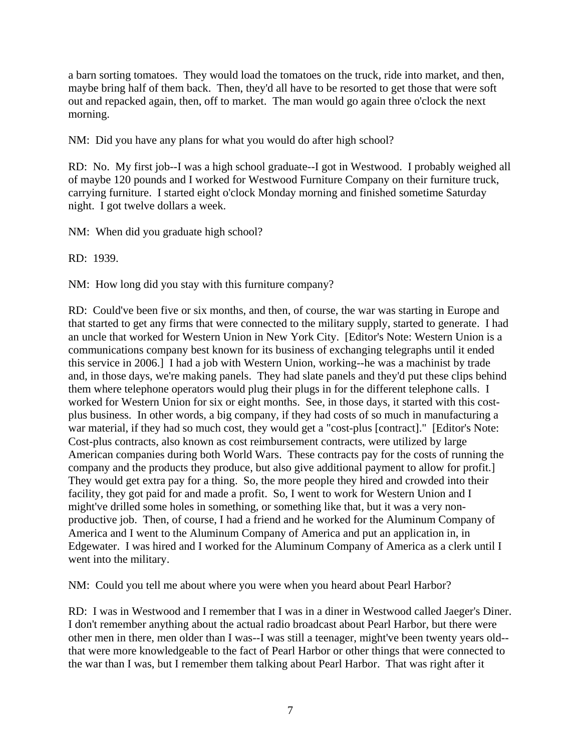a barn sorting tomatoes. They would load the tomatoes on the truck, ride into market, and then, maybe bring half of them back. Then, they'd all have to be resorted to get those that were soft out and repacked again, then, off to market. The man would go again three o'clock the next morning.

NM: Did you have any plans for what you would do after high school?

RD: No. My first job--I was a high school graduate--I got in Westwood. I probably weighed all of maybe 120 pounds and I worked for Westwood Furniture Company on their furniture truck, carrying furniture. I started eight o'clock Monday morning and finished sometime Saturday night. I got twelve dollars a week.

NM: When did you graduate high school?

RD: 1939.

NM: How long did you stay with this furniture company?

RD: Could've been five or six months, and then, of course, the war was starting in Europe and that started to get any firms that were connected to the military supply, started to generate. I had an uncle that worked for Western Union in New York City. [Editor's Note: Western Union is a communications company best known for its business of exchanging telegraphs until it ended this service in 2006.] I had a job with Western Union, working--he was a machinist by trade and, in those days, we're making panels. They had slate panels and they'd put these clips behind them where telephone operators would plug their plugs in for the different telephone calls. I worked for Western Union for six or eight months. See, in those days, it started with this costplus business. In other words, a big company, if they had costs of so much in manufacturing a war material, if they had so much cost, they would get a "cost-plus [contract]." [Editor's Note: Cost-plus contracts, also known as cost reimbursement contracts, were utilized by large American companies during both World Wars. These contracts pay for the costs of running the company and the products they produce, but also give additional payment to allow for profit.] They would get extra pay for a thing. So, the more people they hired and crowded into their facility, they got paid for and made a profit. So, I went to work for Western Union and I might've drilled some holes in something, or something like that, but it was a very nonproductive job. Then, of course, I had a friend and he worked for the Aluminum Company of America and I went to the Aluminum Company of America and put an application in, in Edgewater. I was hired and I worked for the Aluminum Company of America as a clerk until I went into the military.

NM: Could you tell me about where you were when you heard about Pearl Harbor?

RD: I was in Westwood and I remember that I was in a diner in Westwood called Jaeger's Diner. I don't remember anything about the actual radio broadcast about Pearl Harbor, but there were other men in there, men older than I was--I was still a teenager, might've been twenty years old- that were more knowledgeable to the fact of Pearl Harbor or other things that were connected to the war than I was, but I remember them talking about Pearl Harbor. That was right after it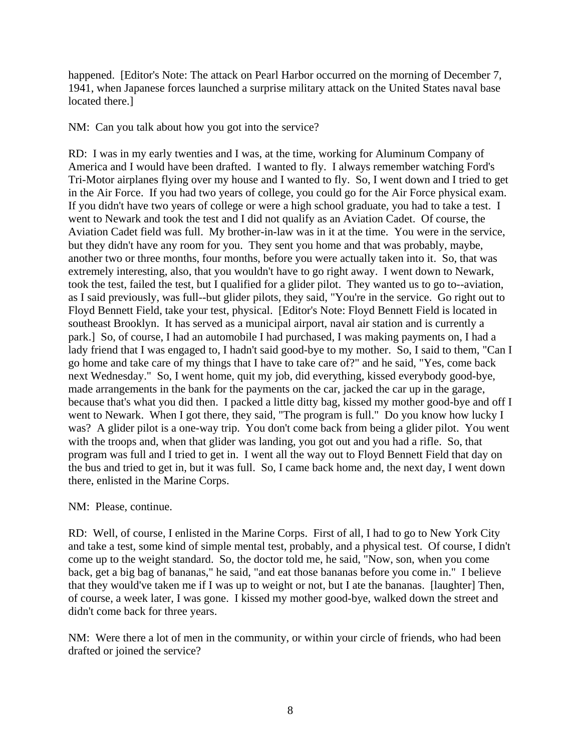happened. [Editor's Note: The attack on Pearl Harbor occurred on the morning of December 7, 1941, when Japanese forces launched a surprise military attack on the United States naval base located there.]

NM: Can you talk about how you got into the service?

RD: I was in my early twenties and I was, at the time, working for Aluminum Company of America and I would have been drafted. I wanted to fly. I always remember watching Ford's Tri-Motor airplanes flying over my house and I wanted to fly. So, I went down and I tried to get in the Air Force. If you had two years of college, you could go for the Air Force physical exam. If you didn't have two years of college or were a high school graduate, you had to take a test. I went to Newark and took the test and I did not qualify as an Aviation Cadet. Of course, the Aviation Cadet field was full. My brother-in-law was in it at the time. You were in the service, but they didn't have any room for you. They sent you home and that was probably, maybe, another two or three months, four months, before you were actually taken into it. So, that was extremely interesting, also, that you wouldn't have to go right away. I went down to Newark, took the test, failed the test, but I qualified for a glider pilot. They wanted us to go to--aviation, as I said previously, was full--but glider pilots, they said, "You're in the service. Go right out to Floyd Bennett Field, take your test, physical. [Editor's Note: Floyd Bennett Field is located in southeast Brooklyn. It has served as a municipal airport, naval air station and is currently a park.] So, of course, I had an automobile I had purchased, I was making payments on, I had a lady friend that I was engaged to, I hadn't said good-bye to my mother. So, I said to them, "Can I go home and take care of my things that I have to take care of?" and he said, "Yes, come back next Wednesday." So, I went home, quit my job, did everything, kissed everybody good-bye, made arrangements in the bank for the payments on the car, jacked the car up in the garage, because that's what you did then. I packed a little ditty bag, kissed my mother good-bye and off I went to Newark. When I got there, they said, "The program is full." Do you know how lucky I was? A glider pilot is a one-way trip. You don't come back from being a glider pilot. You went with the troops and, when that glider was landing, you got out and you had a rifle. So, that program was full and I tried to get in. I went all the way out to Floyd Bennett Field that day on the bus and tried to get in, but it was full. So, I came back home and, the next day, I went down there, enlisted in the Marine Corps.

### NM: Please, continue.

RD: Well, of course, I enlisted in the Marine Corps. First of all, I had to go to New York City and take a test, some kind of simple mental test, probably, and a physical test. Of course, I didn't come up to the weight standard. So, the doctor told me, he said, "Now, son, when you come back, get a big bag of bananas," he said, "and eat those bananas before you come in." I believe that they would've taken me if I was up to weight or not, but I ate the bananas. [laughter] Then, of course, a week later, I was gone. I kissed my mother good-bye, walked down the street and didn't come back for three years.

NM: Were there a lot of men in the community, or within your circle of friends, who had been drafted or joined the service?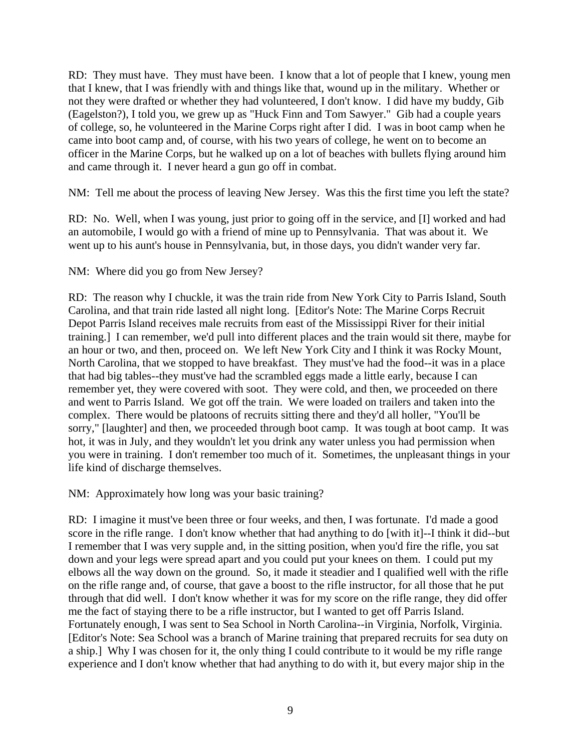RD: They must have. They must have been. I know that a lot of people that I knew, young men that I knew, that I was friendly with and things like that, wound up in the military. Whether or not they were drafted or whether they had volunteered, I don't know. I did have my buddy, Gib (Eagelston?), I told you, we grew up as "Huck Finn and Tom Sawyer." Gib had a couple years of college, so, he volunteered in the Marine Corps right after I did. I was in boot camp when he came into boot camp and, of course, with his two years of college, he went on to become an officer in the Marine Corps, but he walked up on a lot of beaches with bullets flying around him and came through it. I never heard a gun go off in combat.

NM: Tell me about the process of leaving New Jersey. Was this the first time you left the state?

RD: No. Well, when I was young, just prior to going off in the service, and [I] worked and had an automobile, I would go with a friend of mine up to Pennsylvania. That was about it. We went up to his aunt's house in Pennsylvania, but, in those days, you didn't wander very far.

NM: Where did you go from New Jersey?

RD: The reason why I chuckle, it was the train ride from New York City to Parris Island, South Carolina, and that train ride lasted all night long. [Editor's Note: The Marine Corps Recruit Depot Parris Island receives male recruits from east of the Mississippi River for their initial training.] I can remember, we'd pull into different places and the train would sit there, maybe for an hour or two, and then, proceed on. We left New York City and I think it was Rocky Mount, North Carolina, that we stopped to have breakfast. They must've had the food--it was in a place that had big tables--they must've had the scrambled eggs made a little early, because I can remember yet, they were covered with soot. They were cold, and then, we proceeded on there and went to Parris Island. We got off the train. We were loaded on trailers and taken into the complex. There would be platoons of recruits sitting there and they'd all holler, "You'll be sorry," [laughter] and then, we proceeded through boot camp. It was tough at boot camp. It was hot, it was in July, and they wouldn't let you drink any water unless you had permission when you were in training. I don't remember too much of it. Sometimes, the unpleasant things in your life kind of discharge themselves.

NM: Approximately how long was your basic training?

RD: I imagine it must've been three or four weeks, and then, I was fortunate. I'd made a good score in the rifle range. I don't know whether that had anything to do [with it]--I think it did--but I remember that I was very supple and, in the sitting position, when you'd fire the rifle, you sat down and your legs were spread apart and you could put your knees on them. I could put my elbows all the way down on the ground. So, it made it steadier and I qualified well with the rifle on the rifle range and, of course, that gave a boost to the rifle instructor, for all those that he put through that did well. I don't know whether it was for my score on the rifle range, they did offer me the fact of staying there to be a rifle instructor, but I wanted to get off Parris Island. Fortunately enough, I was sent to Sea School in North Carolina--in Virginia, Norfolk, Virginia. [Editor's Note: Sea School was a branch of Marine training that prepared recruits for sea duty on a ship.] Why I was chosen for it, the only thing I could contribute to it would be my rifle range experience and I don't know whether that had anything to do with it, but every major ship in the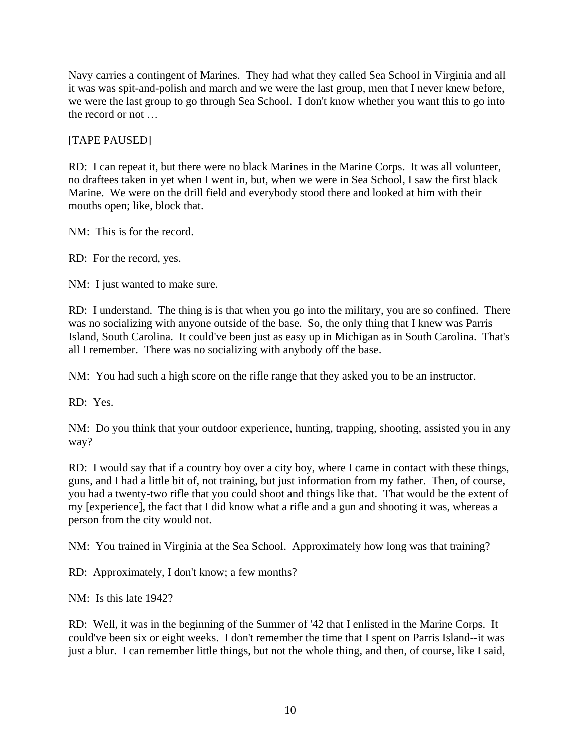Navy carries a contingent of Marines. They had what they called Sea School in Virginia and all it was was spit-and-polish and march and we were the last group, men that I never knew before, we were the last group to go through Sea School. I don't know whether you want this to go into the record or not …

# [TAPE PAUSED]

RD: I can repeat it, but there were no black Marines in the Marine Corps. It was all volunteer, no draftees taken in yet when I went in, but, when we were in Sea School, I saw the first black Marine. We were on the drill field and everybody stood there and looked at him with their mouths open; like, block that.

NM: This is for the record.

RD: For the record, yes.

NM: I just wanted to make sure.

RD: I understand. The thing is is that when you go into the military, you are so confined. There was no socializing with anyone outside of the base. So, the only thing that I knew was Parris Island, South Carolina. It could've been just as easy up in Michigan as in South Carolina. That's all I remember. There was no socializing with anybody off the base.

NM: You had such a high score on the rifle range that they asked you to be an instructor.

RD: Yes.

NM: Do you think that your outdoor experience, hunting, trapping, shooting, assisted you in any way?

RD: I would say that if a country boy over a city boy, where I came in contact with these things, guns, and I had a little bit of, not training, but just information from my father. Then, of course, you had a twenty-two rifle that you could shoot and things like that. That would be the extent of my [experience], the fact that I did know what a rifle and a gun and shooting it was, whereas a person from the city would not.

NM: You trained in Virginia at the Sea School. Approximately how long was that training?

RD: Approximately, I don't know; a few months?

NM: Is this late 1942?

RD: Well, it was in the beginning of the Summer of '42 that I enlisted in the Marine Corps. It could've been six or eight weeks. I don't remember the time that I spent on Parris Island--it was just a blur. I can remember little things, but not the whole thing, and then, of course, like I said,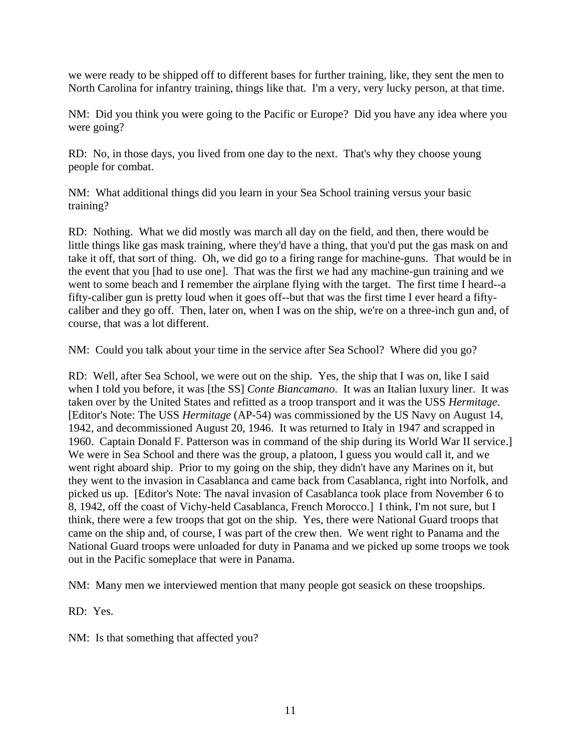we were ready to be shipped off to different bases for further training, like, they sent the men to North Carolina for infantry training, things like that. I'm a very, very lucky person, at that time.

NM: Did you think you were going to the Pacific or Europe? Did you have any idea where you were going?

RD: No, in those days, you lived from one day to the next. That's why they choose young people for combat.

NM: What additional things did you learn in your Sea School training versus your basic training?

RD: Nothing. What we did mostly was march all day on the field, and then, there would be little things like gas mask training, where they'd have a thing, that you'd put the gas mask on and take it off, that sort of thing. Oh, we did go to a firing range for machine-guns. That would be in the event that you [had to use one]. That was the first we had any machine-gun training and we went to some beach and I remember the airplane flying with the target. The first time I heard--a fifty-caliber gun is pretty loud when it goes off--but that was the first time I ever heard a fiftycaliber and they go off. Then, later on, when I was on the ship, we're on a three-inch gun and, of course, that was a lot different.

NM: Could you talk about your time in the service after Sea School? Where did you go?

RD: Well, after Sea School, we were out on the ship. Yes, the ship that I was on, like I said when I told you before, it was [the SS] *Conte Biancamano*. It was an Italian luxury liner. It was taken over by the United States and refitted as a troop transport and it was the USS *Hermitage*. [Editor's Note: The USS *Hermitage* (AP-54) was commissioned by the US Navy on August 14, 1942, and decommissioned August 20, 1946. It was returned to Italy in 1947 and scrapped in 1960. Captain Donald F. Patterson was in command of the ship during its World War II service.] We were in Sea School and there was the group, a platoon, I guess you would call it, and we went right aboard ship. Prior to my going on the ship, they didn't have any Marines on it, but they went to the invasion in Casablanca and came back from Casablanca, right into Norfolk, and picked us up. [Editor's Note: The naval invasion of Casablanca took place from November 6 to 8, 1942, off the coast of Vichy-held Casablanca, French Morocco.] I think, I'm not sure, but I think, there were a few troops that got on the ship. Yes, there were National Guard troops that came on the ship and, of course, I was part of the crew then. We went right to Panama and the National Guard troops were unloaded for duty in Panama and we picked up some troops we took out in the Pacific someplace that were in Panama.

NM: Many men we interviewed mention that many people got seasick on these troopships.

RD: Yes.

NM: Is that something that affected you?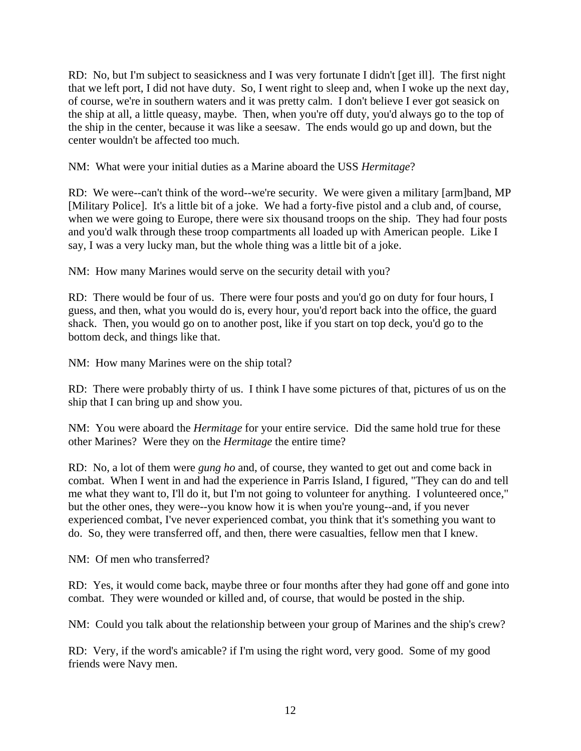RD: No, but I'm subject to seasickness and I was very fortunate I didn't [get ill]. The first night that we left port, I did not have duty. So, I went right to sleep and, when I woke up the next day, of course, we're in southern waters and it was pretty calm. I don't believe I ever got seasick on the ship at all, a little queasy, maybe. Then, when you're off duty, you'd always go to the top of the ship in the center, because it was like a seesaw. The ends would go up and down, but the center wouldn't be affected too much.

NM: What were your initial duties as a Marine aboard the USS *Hermitage*?

RD: We were--can't think of the word--we're security. We were given a military [arm]band, MP [Military Police]. It's a little bit of a joke. We had a forty-five pistol and a club and, of course, when we were going to Europe, there were six thousand troops on the ship. They had four posts and you'd walk through these troop compartments all loaded up with American people. Like I say, I was a very lucky man, but the whole thing was a little bit of a joke.

NM: How many Marines would serve on the security detail with you?

RD: There would be four of us. There were four posts and you'd go on duty for four hours, I guess, and then, what you would do is, every hour, you'd report back into the office, the guard shack. Then, you would go on to another post, like if you start on top deck, you'd go to the bottom deck, and things like that.

NM: How many Marines were on the ship total?

RD: There were probably thirty of us. I think I have some pictures of that, pictures of us on the ship that I can bring up and show you.

NM: You were aboard the *Hermitage* for your entire service. Did the same hold true for these other Marines? Were they on the *Hermitage* the entire time?

RD: No, a lot of them were *gung ho* and, of course, they wanted to get out and come back in combat. When I went in and had the experience in Parris Island, I figured, "They can do and tell me what they want to, I'll do it, but I'm not going to volunteer for anything. I volunteered once," but the other ones, they were--you know how it is when you're young--and, if you never experienced combat, I've never experienced combat, you think that it's something you want to do. So, they were transferred off, and then, there were casualties, fellow men that I knew.

NM: Of men who transferred?

RD: Yes, it would come back, maybe three or four months after they had gone off and gone into combat. They were wounded or killed and, of course, that would be posted in the ship.

NM: Could you talk about the relationship between your group of Marines and the ship's crew?

RD: Very, if the word's amicable? if I'm using the right word, very good. Some of my good friends were Navy men.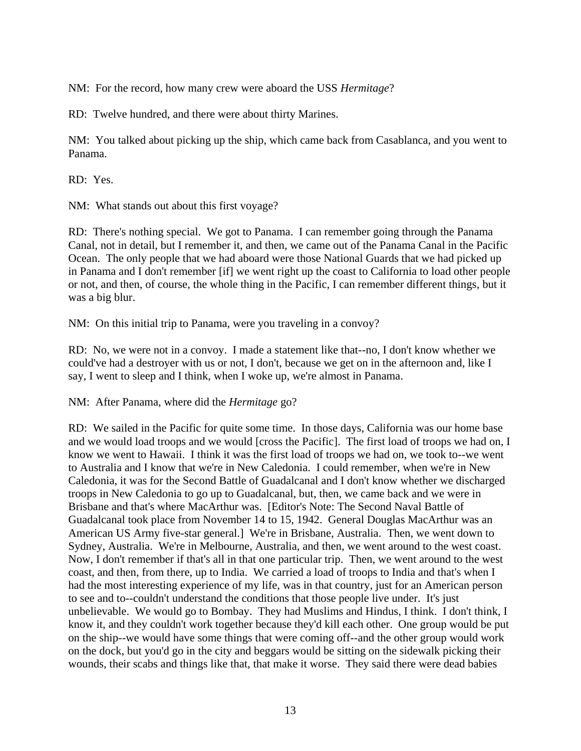NM: For the record, how many crew were aboard the USS *Hermitage*?

RD: Twelve hundred, and there were about thirty Marines.

NM: You talked about picking up the ship, which came back from Casablanca, and you went to Panama.

RD: Yes.

NM: What stands out about this first voyage?

RD: There's nothing special. We got to Panama. I can remember going through the Panama Canal, not in detail, but I remember it, and then, we came out of the Panama Canal in the Pacific Ocean. The only people that we had aboard were those National Guards that we had picked up in Panama and I don't remember [if] we went right up the coast to California to load other people or not, and then, of course, the whole thing in the Pacific, I can remember different things, but it was a big blur.

NM: On this initial trip to Panama, were you traveling in a convoy?

RD: No, we were not in a convoy. I made a statement like that--no, I don't know whether we could've had a destroyer with us or not, I don't, because we get on in the afternoon and, like I say, I went to sleep and I think, when I woke up, we're almost in Panama.

NM: After Panama, where did the *Hermitage* go?

RD: We sailed in the Pacific for quite some time. In those days, California was our home base and we would load troops and we would [cross the Pacific]. The first load of troops we had on, I know we went to Hawaii. I think it was the first load of troops we had on, we took to--we went to Australia and I know that we're in New Caledonia. I could remember, when we're in New Caledonia, it was for the Second Battle of Guadalcanal and I don't know whether we discharged troops in New Caledonia to go up to Guadalcanal, but, then, we came back and we were in Brisbane and that's where MacArthur was. [Editor's Note: The Second Naval Battle of Guadalcanal took place from November 14 to 15, 1942. General Douglas MacArthur was an American US Army five-star general.] We're in Brisbane, Australia. Then, we went down to Sydney, Australia. We're in Melbourne, Australia, and then, we went around to the west coast. Now, I don't remember if that's all in that one particular trip. Then, we went around to the west coast, and then, from there, up to India. We carried a load of troops to India and that's when I had the most interesting experience of my life, was in that country, just for an American person to see and to--couldn't understand the conditions that those people live under. It's just unbelievable. We would go to Bombay. They had Muslims and Hindus, I think. I don't think, I know it, and they couldn't work together because they'd kill each other. One group would be put on the ship--we would have some things that were coming off--and the other group would work on the dock, but you'd go in the city and beggars would be sitting on the sidewalk picking their wounds, their scabs and things like that, that make it worse. They said there were dead babies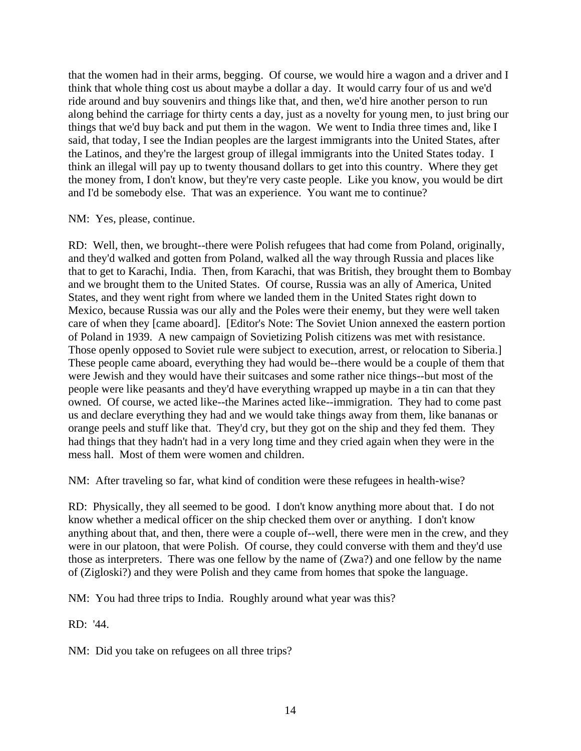that the women had in their arms, begging. Of course, we would hire a wagon and a driver and I think that whole thing cost us about maybe a dollar a day. It would carry four of us and we'd ride around and buy souvenirs and things like that, and then, we'd hire another person to run along behind the carriage for thirty cents a day, just as a novelty for young men, to just bring our things that we'd buy back and put them in the wagon. We went to India three times and, like I said, that today, I see the Indian peoples are the largest immigrants into the United States, after the Latinos, and they're the largest group of illegal immigrants into the United States today. I think an illegal will pay up to twenty thousand dollars to get into this country. Where they get the money from, I don't know, but they're very caste people. Like you know, you would be dirt and I'd be somebody else. That was an experience. You want me to continue?

#### NM: Yes, please, continue.

RD: Well, then, we brought--there were Polish refugees that had come from Poland, originally, and they'd walked and gotten from Poland, walked all the way through Russia and places like that to get to Karachi, India. Then, from Karachi, that was British, they brought them to Bombay and we brought them to the United States. Of course, Russia was an ally of America, United States, and they went right from where we landed them in the United States right down to Mexico, because Russia was our ally and the Poles were their enemy, but they were well taken care of when they [came aboard]. [Editor's Note: The Soviet Union annexed the eastern portion of Poland in 1939. A new campaign of Sovietizing Polish citizens was met with resistance. Those openly opposed to Soviet rule were subject to execution, arrest, or relocation to Siberia.] These people came aboard, everything they had would be--there would be a couple of them that were Jewish and they would have their suitcases and some rather nice things--but most of the people were like peasants and they'd have everything wrapped up maybe in a tin can that they owned. Of course, we acted like--the Marines acted like--immigration. They had to come past us and declare everything they had and we would take things away from them, like bananas or orange peels and stuff like that. They'd cry, but they got on the ship and they fed them. They had things that they hadn't had in a very long time and they cried again when they were in the mess hall. Most of them were women and children.

NM: After traveling so far, what kind of condition were these refugees in health-wise?

RD: Physically, they all seemed to be good. I don't know anything more about that. I do not know whether a medical officer on the ship checked them over or anything. I don't know anything about that, and then, there were a couple of--well, there were men in the crew, and they were in our platoon, that were Polish. Of course, they could converse with them and they'd use those as interpreters. There was one fellow by the name of (Zwa?) and one fellow by the name of (Zigloski?) and they were Polish and they came from homes that spoke the language.

NM: You had three trips to India. Roughly around what year was this?

RD: '44.

NM: Did you take on refugees on all three trips?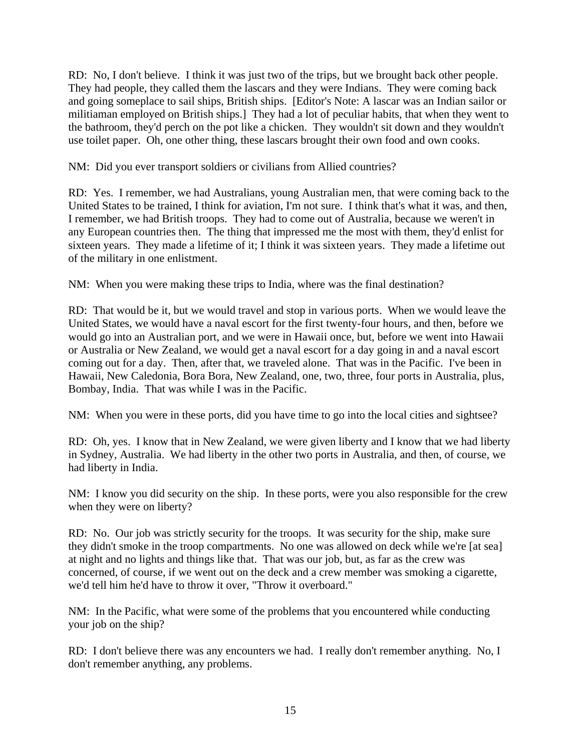RD: No, I don't believe. I think it was just two of the trips, but we brought back other people. They had people, they called them the lascars and they were Indians. They were coming back and going someplace to sail ships, British ships. [Editor's Note: A lascar was an Indian sailor or militiaman employed on British ships.] They had a lot of peculiar habits, that when they went to the bathroom, they'd perch on the pot like a chicken. They wouldn't sit down and they wouldn't use toilet paper. Oh, one other thing, these lascars brought their own food and own cooks.

NM: Did you ever transport soldiers or civilians from Allied countries?

RD: Yes. I remember, we had Australians, young Australian men, that were coming back to the United States to be trained, I think for aviation, I'm not sure. I think that's what it was, and then, I remember, we had British troops. They had to come out of Australia, because we weren't in any European countries then. The thing that impressed me the most with them, they'd enlist for sixteen years. They made a lifetime of it; I think it was sixteen years. They made a lifetime out of the military in one enlistment.

NM: When you were making these trips to India, where was the final destination?

RD: That would be it, but we would travel and stop in various ports. When we would leave the United States, we would have a naval escort for the first twenty-four hours, and then, before we would go into an Australian port, and we were in Hawaii once, but, before we went into Hawaii or Australia or New Zealand, we would get a naval escort for a day going in and a naval escort coming out for a day. Then, after that, we traveled alone. That was in the Pacific. I've been in Hawaii, New Caledonia, Bora Bora, New Zealand, one, two, three, four ports in Australia, plus, Bombay, India. That was while I was in the Pacific.

NM: When you were in these ports, did you have time to go into the local cities and sightsee?

RD: Oh, yes. I know that in New Zealand, we were given liberty and I know that we had liberty in Sydney, Australia. We had liberty in the other two ports in Australia, and then, of course, we had liberty in India.

NM: I know you did security on the ship. In these ports, were you also responsible for the crew when they were on liberty?

RD: No. Our job was strictly security for the troops. It was security for the ship, make sure they didn't smoke in the troop compartments. No one was allowed on deck while we're [at sea] at night and no lights and things like that. That was our job, but, as far as the crew was concerned, of course, if we went out on the deck and a crew member was smoking a cigarette, we'd tell him he'd have to throw it over, "Throw it overboard."

NM: In the Pacific, what were some of the problems that you encountered while conducting your job on the ship?

RD: I don't believe there was any encounters we had. I really don't remember anything. No, I don't remember anything, any problems.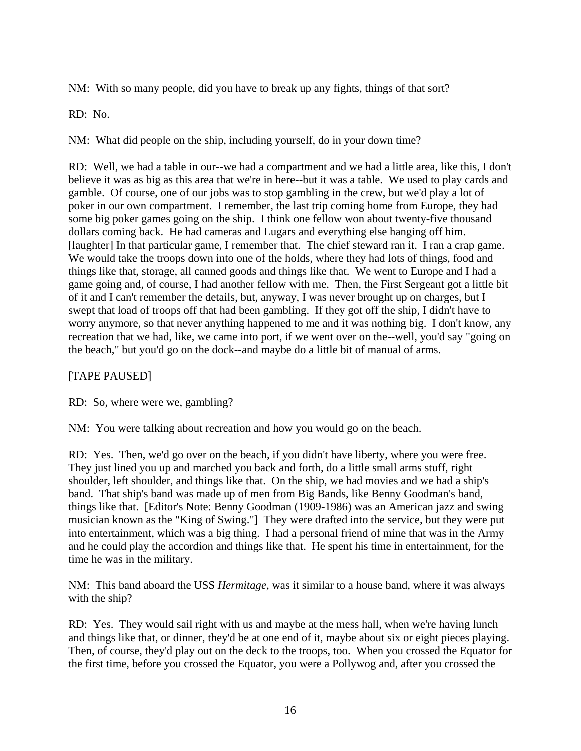NM: With so many people, did you have to break up any fights, things of that sort?

RD: No.

NM: What did people on the ship, including yourself, do in your down time?

RD: Well, we had a table in our--we had a compartment and we had a little area, like this, I don't believe it was as big as this area that we're in here--but it was a table. We used to play cards and gamble. Of course, one of our jobs was to stop gambling in the crew, but we'd play a lot of poker in our own compartment. I remember, the last trip coming home from Europe, they had some big poker games going on the ship. I think one fellow won about twenty-five thousand dollars coming back. He had cameras and Lugars and everything else hanging off him. [laughter] In that particular game, I remember that. The chief steward ran it. I ran a crap game. We would take the troops down into one of the holds, where they had lots of things, food and things like that, storage, all canned goods and things like that. We went to Europe and I had a game going and, of course, I had another fellow with me. Then, the First Sergeant got a little bit of it and I can't remember the details, but, anyway, I was never brought up on charges, but I swept that load of troops off that had been gambling. If they got off the ship, I didn't have to worry anymore, so that never anything happened to me and it was nothing big. I don't know, any recreation that we had, like, we came into port, if we went over on the--well, you'd say "going on the beach," but you'd go on the dock--and maybe do a little bit of manual of arms.

[TAPE PAUSED]

RD: So, where were we, gambling?

NM: You were talking about recreation and how you would go on the beach.

RD: Yes. Then, we'd go over on the beach, if you didn't have liberty, where you were free. They just lined you up and marched you back and forth, do a little small arms stuff, right shoulder, left shoulder, and things like that. On the ship, we had movies and we had a ship's band. That ship's band was made up of men from Big Bands, like Benny Goodman's band, things like that. [Editor's Note: Benny Goodman (1909-1986) was an American jazz and swing musician known as the "King of Swing."] They were drafted into the service, but they were put into entertainment, which was a big thing. I had a personal friend of mine that was in the Army and he could play the accordion and things like that. He spent his time in entertainment, for the time he was in the military.

NM: This band aboard the USS *Hermitage*, was it similar to a house band, where it was always with the ship?

RD: Yes. They would sail right with us and maybe at the mess hall, when we're having lunch and things like that, or dinner, they'd be at one end of it, maybe about six or eight pieces playing. Then, of course, they'd play out on the deck to the troops, too. When you crossed the Equator for the first time, before you crossed the Equator, you were a Pollywog and, after you crossed the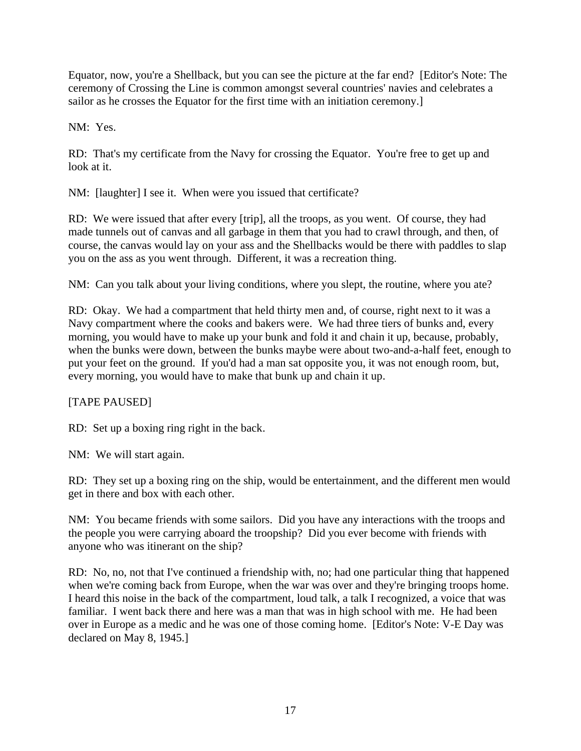Equator, now, you're a Shellback, but you can see the picture at the far end? [Editor's Note: The ceremony of Crossing the Line is common amongst several countries' navies and celebrates a sailor as he crosses the Equator for the first time with an initiation ceremony.]

NM: Yes.

RD: That's my certificate from the Navy for crossing the Equator. You're free to get up and look at it.

NM: [laughter] I see it. When were you issued that certificate?

RD: We were issued that after every [trip], all the troops, as you went. Of course, they had made tunnels out of canvas and all garbage in them that you had to crawl through, and then, of course, the canvas would lay on your ass and the Shellbacks would be there with paddles to slap you on the ass as you went through. Different, it was a recreation thing.

NM: Can you talk about your living conditions, where you slept, the routine, where you ate?

RD: Okay. We had a compartment that held thirty men and, of course, right next to it was a Navy compartment where the cooks and bakers were. We had three tiers of bunks and, every morning, you would have to make up your bunk and fold it and chain it up, because, probably, when the bunks were down, between the bunks maybe were about two-and-a-half feet, enough to put your feet on the ground. If you'd had a man sat opposite you, it was not enough room, but, every morning, you would have to make that bunk up and chain it up.

## [TAPE PAUSED]

RD: Set up a boxing ring right in the back.

NM: We will start again.

RD: They set up a boxing ring on the ship, would be entertainment, and the different men would get in there and box with each other.

NM: You became friends with some sailors. Did you have any interactions with the troops and the people you were carrying aboard the troopship? Did you ever become with friends with anyone who was itinerant on the ship?

RD: No, no, not that I've continued a friendship with, no; had one particular thing that happened when we're coming back from Europe, when the war was over and they're bringing troops home. I heard this noise in the back of the compartment, loud talk, a talk I recognized, a voice that was familiar. I went back there and here was a man that was in high school with me. He had been over in Europe as a medic and he was one of those coming home. [Editor's Note: V-E Day was declared on May 8, 1945.]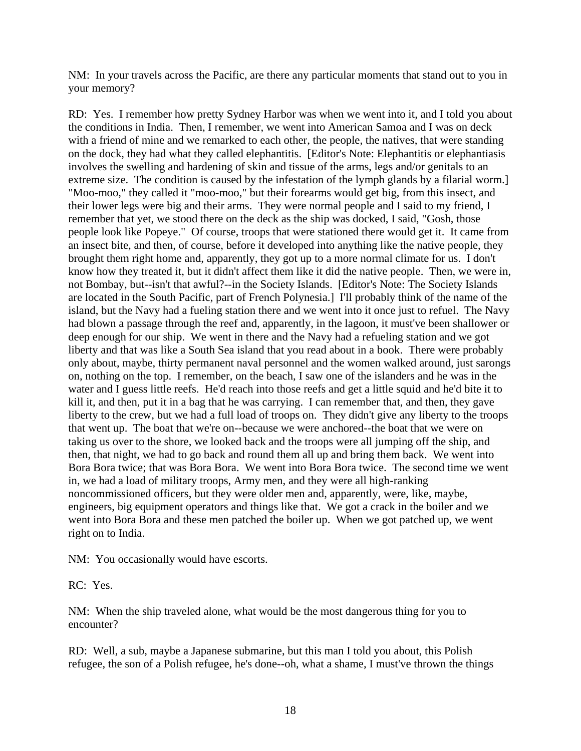NM: In your travels across the Pacific, are there any particular moments that stand out to you in your memory?

RD: Yes. I remember how pretty Sydney Harbor was when we went into it, and I told you about the conditions in India. Then, I remember, we went into American Samoa and I was on deck with a friend of mine and we remarked to each other, the people, the natives, that were standing on the dock, they had what they called elephantitis. [Editor's Note: Elephantitis or elephantiasis involves the swelling and hardening of skin and tissue of the arms, legs and/or genitals to an extreme size. The condition is caused by the infestation of the lymph glands by a filarial worm.] "Moo-moo," they called it "moo-moo," but their forearms would get big, from this insect, and their lower legs were big and their arms. They were normal people and I said to my friend, I remember that yet, we stood there on the deck as the ship was docked, I said, "Gosh, those people look like Popeye." Of course, troops that were stationed there would get it. It came from an insect bite, and then, of course, before it developed into anything like the native people, they brought them right home and, apparently, they got up to a more normal climate for us. I don't know how they treated it, but it didn't affect them like it did the native people. Then, we were in, not Bombay, but--isn't that awful?--in the Society Islands. [Editor's Note: The Society Islands are located in the South Pacific, part of French Polynesia.] I'll probably think of the name of the island, but the Navy had a fueling station there and we went into it once just to refuel. The Navy had blown a passage through the reef and, apparently, in the lagoon, it must've been shallower or deep enough for our ship. We went in there and the Navy had a refueling station and we got liberty and that was like a South Sea island that you read about in a book. There were probably only about, maybe, thirty permanent naval personnel and the women walked around, just sarongs on, nothing on the top. I remember, on the beach, I saw one of the islanders and he was in the water and I guess little reefs. He'd reach into those reefs and get a little squid and he'd bite it to kill it, and then, put it in a bag that he was carrying. I can remember that, and then, they gave liberty to the crew, but we had a full load of troops on. They didn't give any liberty to the troops that went up. The boat that we're on--because we were anchored--the boat that we were on taking us over to the shore, we looked back and the troops were all jumping off the ship, and then, that night, we had to go back and round them all up and bring them back. We went into Bora Bora twice; that was Bora Bora. We went into Bora Bora twice. The second time we went in, we had a load of military troops, Army men, and they were all high-ranking noncommissioned officers, but they were older men and, apparently, were, like, maybe, engineers, big equipment operators and things like that. We got a crack in the boiler and we went into Bora Bora and these men patched the boiler up. When we got patched up, we went right on to India.

NM: You occasionally would have escorts.

RC: Yes.

NM: When the ship traveled alone, what would be the most dangerous thing for you to encounter?

RD: Well, a sub, maybe a Japanese submarine, but this man I told you about, this Polish refugee, the son of a Polish refugee, he's done--oh, what a shame, I must've thrown the things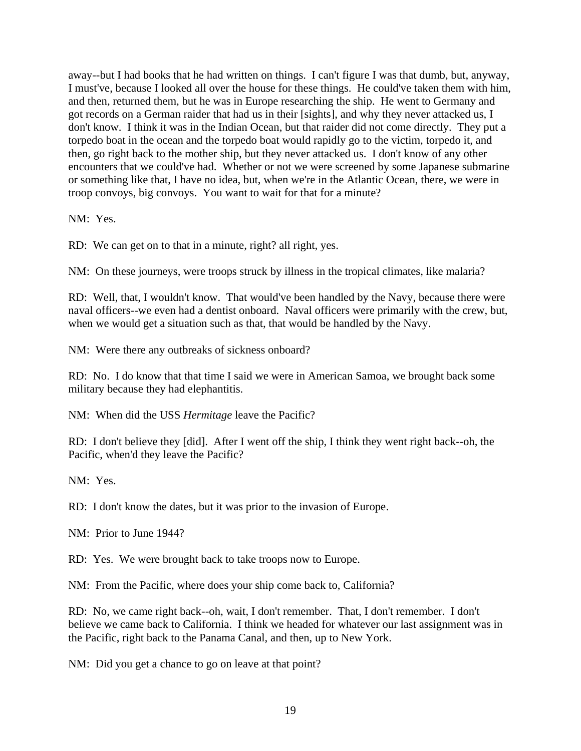away--but I had books that he had written on things. I can't figure I was that dumb, but, anyway, I must've, because I looked all over the house for these things. He could've taken them with him, and then, returned them, but he was in Europe researching the ship. He went to Germany and got records on a German raider that had us in their [sights], and why they never attacked us, I don't know. I think it was in the Indian Ocean, but that raider did not come directly. They put a torpedo boat in the ocean and the torpedo boat would rapidly go to the victim, torpedo it, and then, go right back to the mother ship, but they never attacked us. I don't know of any other encounters that we could've had. Whether or not we were screened by some Japanese submarine or something like that, I have no idea, but, when we're in the Atlantic Ocean, there, we were in troop convoys, big convoys. You want to wait for that for a minute?

NM: Yes.

RD: We can get on to that in a minute, right? all right, yes.

NM: On these journeys, were troops struck by illness in the tropical climates, like malaria?

RD: Well, that, I wouldn't know. That would've been handled by the Navy, because there were naval officers--we even had a dentist onboard. Naval officers were primarily with the crew, but, when we would get a situation such as that, that would be handled by the Navy.

NM: Were there any outbreaks of sickness onboard?

RD: No. I do know that that time I said we were in American Samoa, we brought back some military because they had elephantitis.

NM: When did the USS *Hermitage* leave the Pacific?

RD: I don't believe they [did]. After I went off the ship, I think they went right back--oh, the Pacific, when'd they leave the Pacific?

NM: Yes.

RD: I don't know the dates, but it was prior to the invasion of Europe.

NM: Prior to June 1944?

RD: Yes. We were brought back to take troops now to Europe.

NM: From the Pacific, where does your ship come back to, California?

RD: No, we came right back--oh, wait, I don't remember. That, I don't remember. I don't believe we came back to California. I think we headed for whatever our last assignment was in the Pacific, right back to the Panama Canal, and then, up to New York.

NM: Did you get a chance to go on leave at that point?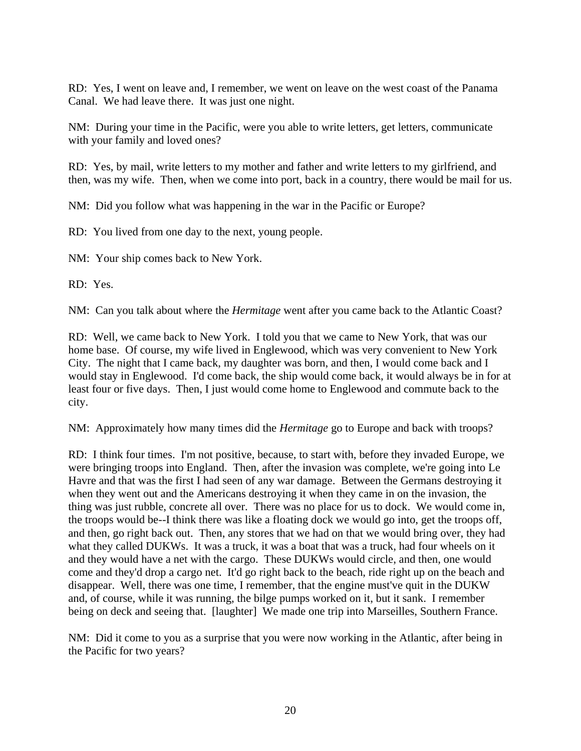RD: Yes, I went on leave and, I remember, we went on leave on the west coast of the Panama Canal. We had leave there. It was just one night.

NM: During your time in the Pacific, were you able to write letters, get letters, communicate with your family and loved ones?

RD: Yes, by mail, write letters to my mother and father and write letters to my girlfriend, and then, was my wife. Then, when we come into port, back in a country, there would be mail for us.

NM: Did you follow what was happening in the war in the Pacific or Europe?

RD: You lived from one day to the next, young people.

NM: Your ship comes back to New York.

RD: Yes.

NM: Can you talk about where the *Hermitage* went after you came back to the Atlantic Coast?

RD: Well, we came back to New York. I told you that we came to New York, that was our home base. Of course, my wife lived in Englewood, which was very convenient to New York City. The night that I came back, my daughter was born, and then, I would come back and I would stay in Englewood. I'd come back, the ship would come back, it would always be in for at least four or five days. Then, I just would come home to Englewood and commute back to the city.

NM: Approximately how many times did the *Hermitage* go to Europe and back with troops?

RD: I think four times. I'm not positive, because, to start with, before they invaded Europe, we were bringing troops into England. Then, after the invasion was complete, we're going into Le Havre and that was the first I had seen of any war damage. Between the Germans destroying it when they went out and the Americans destroying it when they came in on the invasion, the thing was just rubble, concrete all over. There was no place for us to dock. We would come in, the troops would be--I think there was like a floating dock we would go into, get the troops off, and then, go right back out. Then, any stores that we had on that we would bring over, they had what they called DUKWs. It was a truck, it was a boat that was a truck, had four wheels on it and they would have a net with the cargo. These DUKWs would circle, and then, one would come and they'd drop a cargo net. It'd go right back to the beach, ride right up on the beach and disappear. Well, there was one time, I remember, that the engine must've quit in the DUKW and, of course, while it was running, the bilge pumps worked on it, but it sank. I remember being on deck and seeing that. [laughter] We made one trip into Marseilles, Southern France.

NM: Did it come to you as a surprise that you were now working in the Atlantic, after being in the Pacific for two years?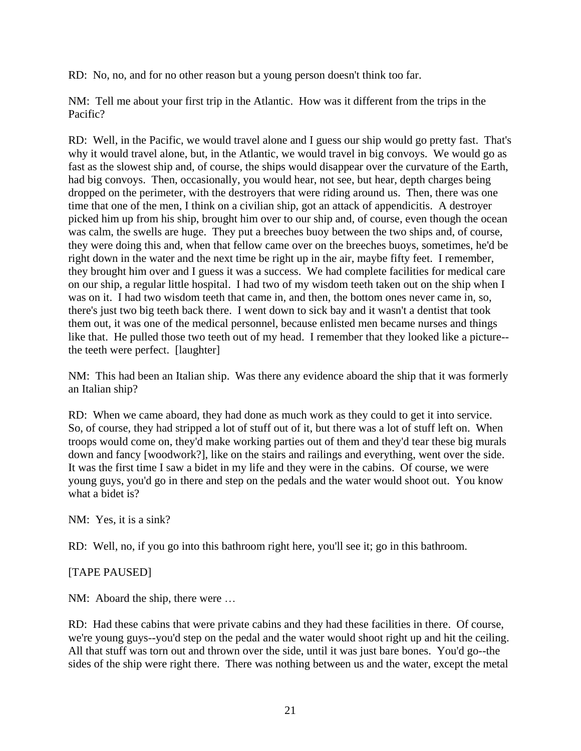RD: No, no, and for no other reason but a young person doesn't think too far.

NM: Tell me about your first trip in the Atlantic. How was it different from the trips in the Pacific?

RD: Well, in the Pacific, we would travel alone and I guess our ship would go pretty fast. That's why it would travel alone, but, in the Atlantic, we would travel in big convoys. We would go as fast as the slowest ship and, of course, the ships would disappear over the curvature of the Earth, had big convoys. Then, occasionally, you would hear, not see, but hear, depth charges being dropped on the perimeter, with the destroyers that were riding around us. Then, there was one time that one of the men, I think on a civilian ship, got an attack of appendicitis. A destroyer picked him up from his ship, brought him over to our ship and, of course, even though the ocean was calm, the swells are huge. They put a breeches buoy between the two ships and, of course, they were doing this and, when that fellow came over on the breeches buoys, sometimes, he'd be right down in the water and the next time be right up in the air, maybe fifty feet. I remember, they brought him over and I guess it was a success. We had complete facilities for medical care on our ship, a regular little hospital. I had two of my wisdom teeth taken out on the ship when I was on it. I had two wisdom teeth that came in, and then, the bottom ones never came in, so, there's just two big teeth back there. I went down to sick bay and it wasn't a dentist that took them out, it was one of the medical personnel, because enlisted men became nurses and things like that. He pulled those two teeth out of my head. I remember that they looked like a picture- the teeth were perfect. [laughter]

NM: This had been an Italian ship. Was there any evidence aboard the ship that it was formerly an Italian ship?

RD: When we came aboard, they had done as much work as they could to get it into service. So, of course, they had stripped a lot of stuff out of it, but there was a lot of stuff left on. When troops would come on, they'd make working parties out of them and they'd tear these big murals down and fancy [woodwork?], like on the stairs and railings and everything, went over the side. It was the first time I saw a bidet in my life and they were in the cabins. Of course, we were young guys, you'd go in there and step on the pedals and the water would shoot out. You know what a bidet is?

NM: Yes, it is a sink?

RD: Well, no, if you go into this bathroom right here, you'll see it; go in this bathroom.

## [TAPE PAUSED]

NM: Aboard the ship, there were …

RD: Had these cabins that were private cabins and they had these facilities in there. Of course, we're young guys--you'd step on the pedal and the water would shoot right up and hit the ceiling. All that stuff was torn out and thrown over the side, until it was just bare bones. You'd go--the sides of the ship were right there. There was nothing between us and the water, except the metal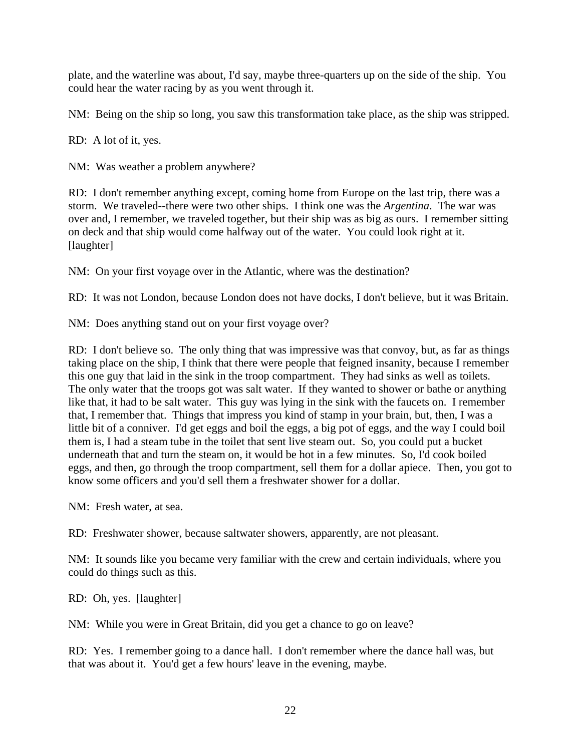plate, and the waterline was about, I'd say, maybe three-quarters up on the side of the ship. You could hear the water racing by as you went through it.

NM: Being on the ship so long, you saw this transformation take place, as the ship was stripped.

RD: A lot of it, yes.

NM: Was weather a problem anywhere?

RD: I don't remember anything except, coming home from Europe on the last trip, there was a storm. We traveled--there were two other ships. I think one was the *Argentina*. The war was over and, I remember, we traveled together, but their ship was as big as ours. I remember sitting on deck and that ship would come halfway out of the water. You could look right at it. [laughter]

NM: On your first voyage over in the Atlantic, where was the destination?

RD: It was not London, because London does not have docks, I don't believe, but it was Britain.

NM: Does anything stand out on your first voyage over?

RD: I don't believe so. The only thing that was impressive was that convoy, but, as far as things taking place on the ship, I think that there were people that feigned insanity, because I remember this one guy that laid in the sink in the troop compartment. They had sinks as well as toilets. The only water that the troops got was salt water. If they wanted to shower or bathe or anything like that, it had to be salt water. This guy was lying in the sink with the faucets on. I remember that, I remember that. Things that impress you kind of stamp in your brain, but, then, I was a little bit of a conniver. I'd get eggs and boil the eggs, a big pot of eggs, and the way I could boil them is, I had a steam tube in the toilet that sent live steam out. So, you could put a bucket underneath that and turn the steam on, it would be hot in a few minutes. So, I'd cook boiled eggs, and then, go through the troop compartment, sell them for a dollar apiece. Then, you got to know some officers and you'd sell them a freshwater shower for a dollar.

NM: Fresh water, at sea.

RD: Freshwater shower, because saltwater showers, apparently, are not pleasant.

NM: It sounds like you became very familiar with the crew and certain individuals, where you could do things such as this.

RD: Oh, yes. [laughter]

NM: While you were in Great Britain, did you get a chance to go on leave?

RD: Yes. I remember going to a dance hall. I don't remember where the dance hall was, but that was about it. You'd get a few hours' leave in the evening, maybe.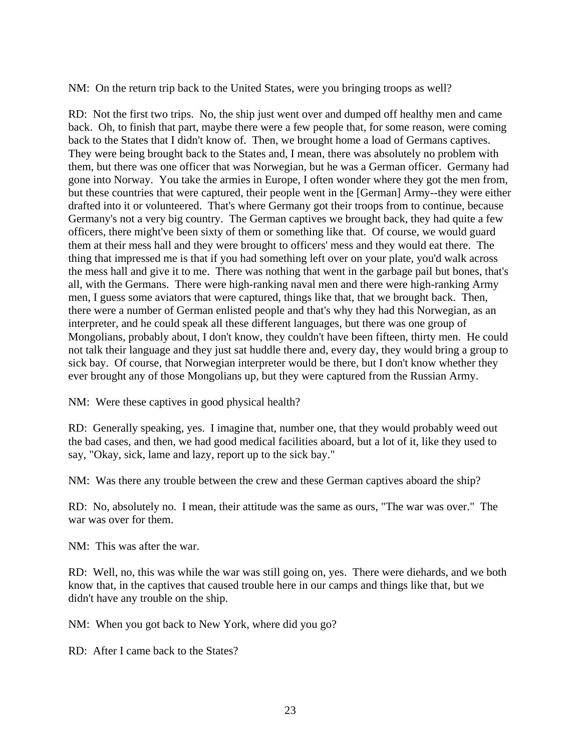NM: On the return trip back to the United States, were you bringing troops as well?

RD: Not the first two trips. No, the ship just went over and dumped off healthy men and came back. Oh, to finish that part, maybe there were a few people that, for some reason, were coming back to the States that I didn't know of. Then, we brought home a load of Germans captives. They were being brought back to the States and, I mean, there was absolutely no problem with them, but there was one officer that was Norwegian, but he was a German officer. Germany had gone into Norway. You take the armies in Europe, I often wonder where they got the men from, but these countries that were captured, their people went in the [German] Army--they were either drafted into it or volunteered. That's where Germany got their troops from to continue, because Germany's not a very big country. The German captives we brought back, they had quite a few officers, there might've been sixty of them or something like that. Of course, we would guard them at their mess hall and they were brought to officers' mess and they would eat there. The thing that impressed me is that if you had something left over on your plate, you'd walk across the mess hall and give it to me. There was nothing that went in the garbage pail but bones, that's all, with the Germans. There were high-ranking naval men and there were high-ranking Army men, I guess some aviators that were captured, things like that, that we brought back. Then, there were a number of German enlisted people and that's why they had this Norwegian, as an interpreter, and he could speak all these different languages, but there was one group of Mongolians, probably about, I don't know, they couldn't have been fifteen, thirty men. He could not talk their language and they just sat huddle there and, every day, they would bring a group to sick bay. Of course, that Norwegian interpreter would be there, but I don't know whether they ever brought any of those Mongolians up, but they were captured from the Russian Army.

NM: Were these captives in good physical health?

RD: Generally speaking, yes. I imagine that, number one, that they would probably weed out the bad cases, and then, we had good medical facilities aboard, but a lot of it, like they used to say, "Okay, sick, lame and lazy, report up to the sick bay."

NM: Was there any trouble between the crew and these German captives aboard the ship?

RD: No, absolutely no. I mean, their attitude was the same as ours, "The war was over." The war was over for them.

NM: This was after the war.

RD: Well, no, this was while the war was still going on, yes. There were diehards, and we both know that, in the captives that caused trouble here in our camps and things like that, but we didn't have any trouble on the ship.

NM: When you got back to New York, where did you go?

RD: After I came back to the States?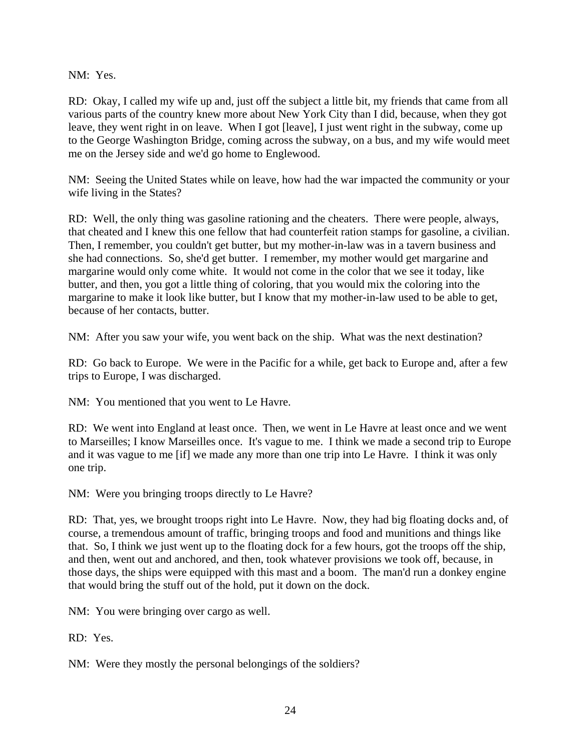NM: Yes.

RD: Okay, I called my wife up and, just off the subject a little bit, my friends that came from all various parts of the country knew more about New York City than I did, because, when they got leave, they went right in on leave. When I got [leave], I just went right in the subway, come up to the George Washington Bridge, coming across the subway, on a bus, and my wife would meet me on the Jersey side and we'd go home to Englewood.

NM: Seeing the United States while on leave, how had the war impacted the community or your wife living in the States?

RD: Well, the only thing was gasoline rationing and the cheaters. There were people, always, that cheated and I knew this one fellow that had counterfeit ration stamps for gasoline, a civilian. Then, I remember, you couldn't get butter, but my mother-in-law was in a tavern business and she had connections. So, she'd get butter. I remember, my mother would get margarine and margarine would only come white. It would not come in the color that we see it today, like butter, and then, you got a little thing of coloring, that you would mix the coloring into the margarine to make it look like butter, but I know that my mother-in-law used to be able to get, because of her contacts, butter.

NM: After you saw your wife, you went back on the ship. What was the next destination?

RD: Go back to Europe. We were in the Pacific for a while, get back to Europe and, after a few trips to Europe, I was discharged.

NM: You mentioned that you went to Le Havre.

RD: We went into England at least once. Then, we went in Le Havre at least once and we went to Marseilles; I know Marseilles once. It's vague to me. I think we made a second trip to Europe and it was vague to me [if] we made any more than one trip into Le Havre. I think it was only one trip.

NM: Were you bringing troops directly to Le Havre?

RD: That, yes, we brought troops right into Le Havre. Now, they had big floating docks and, of course, a tremendous amount of traffic, bringing troops and food and munitions and things like that. So, I think we just went up to the floating dock for a few hours, got the troops off the ship, and then, went out and anchored, and then, took whatever provisions we took off, because, in those days, the ships were equipped with this mast and a boom. The man'd run a donkey engine that would bring the stuff out of the hold, put it down on the dock.

NM: You were bringing over cargo as well.

RD: Yes.

NM: Were they mostly the personal belongings of the soldiers?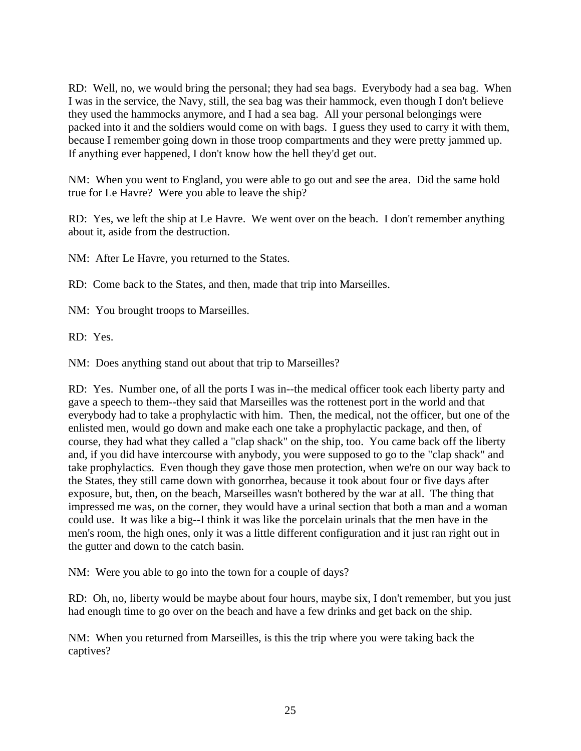RD: Well, no, we would bring the personal; they had sea bags. Everybody had a sea bag. When I was in the service, the Navy, still, the sea bag was their hammock, even though I don't believe they used the hammocks anymore, and I had a sea bag. All your personal belongings were packed into it and the soldiers would come on with bags. I guess they used to carry it with them, because I remember going down in those troop compartments and they were pretty jammed up. If anything ever happened, I don't know how the hell they'd get out.

NM: When you went to England, you were able to go out and see the area. Did the same hold true for Le Havre? Were you able to leave the ship?

RD: Yes, we left the ship at Le Havre. We went over on the beach. I don't remember anything about it, aside from the destruction.

NM: After Le Havre, you returned to the States.

RD: Come back to the States, and then, made that trip into Marseilles.

NM: You brought troops to Marseilles.

RD: Yes.

NM: Does anything stand out about that trip to Marseilles?

RD: Yes. Number one, of all the ports I was in--the medical officer took each liberty party and gave a speech to them--they said that Marseilles was the rottenest port in the world and that everybody had to take a prophylactic with him. Then, the medical, not the officer, but one of the enlisted men, would go down and make each one take a prophylactic package, and then, of course, they had what they called a "clap shack" on the ship, too. You came back off the liberty and, if you did have intercourse with anybody, you were supposed to go to the "clap shack" and take prophylactics. Even though they gave those men protection, when we're on our way back to the States, they still came down with gonorrhea, because it took about four or five days after exposure, but, then, on the beach, Marseilles wasn't bothered by the war at all. The thing that impressed me was, on the corner, they would have a urinal section that both a man and a woman could use. It was like a big--I think it was like the porcelain urinals that the men have in the men's room, the high ones, only it was a little different configuration and it just ran right out in the gutter and down to the catch basin.

NM: Were you able to go into the town for a couple of days?

RD: Oh, no, liberty would be maybe about four hours, maybe six, I don't remember, but you just had enough time to go over on the beach and have a few drinks and get back on the ship.

NM: When you returned from Marseilles, is this the trip where you were taking back the captives?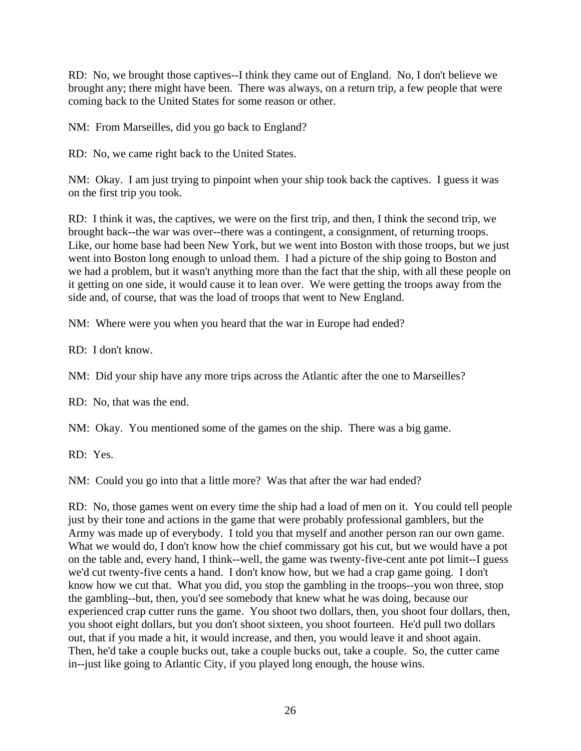RD: No, we brought those captives--I think they came out of England. No, I don't believe we brought any; there might have been. There was always, on a return trip, a few people that were coming back to the United States for some reason or other.

NM: From Marseilles, did you go back to England?

RD: No, we came right back to the United States.

NM: Okay. I am just trying to pinpoint when your ship took back the captives. I guess it was on the first trip you took.

RD: I think it was, the captives, we were on the first trip, and then, I think the second trip, we brought back--the war was over--there was a contingent, a consignment, of returning troops. Like, our home base had been New York, but we went into Boston with those troops, but we just went into Boston long enough to unload them. I had a picture of the ship going to Boston and we had a problem, but it wasn't anything more than the fact that the ship, with all these people on it getting on one side, it would cause it to lean over. We were getting the troops away from the side and, of course, that was the load of troops that went to New England.

NM: Where were you when you heard that the war in Europe had ended?

RD: I don't know.

NM: Did your ship have any more trips across the Atlantic after the one to Marseilles?

RD: No, that was the end.

NM: Okay. You mentioned some of the games on the ship. There was a big game.

RD: Yes.

NM: Could you go into that a little more? Was that after the war had ended?

RD: No, those games went on every time the ship had a load of men on it. You could tell people just by their tone and actions in the game that were probably professional gamblers, but the Army was made up of everybody. I told you that myself and another person ran our own game. What we would do, I don't know how the chief commissary got his cut, but we would have a pot on the table and, every hand, I think--well, the game was twenty-five-cent ante pot limit--I guess we'd cut twenty-five cents a hand. I don't know how, but we had a crap game going. I don't know how we cut that. What you did, you stop the gambling in the troops--you won three, stop the gambling--but, then, you'd see somebody that knew what he was doing, because our experienced crap cutter runs the game. You shoot two dollars, then, you shoot four dollars, then, you shoot eight dollars, but you don't shoot sixteen, you shoot fourteen. He'd pull two dollars out, that if you made a hit, it would increase, and then, you would leave it and shoot again. Then, he'd take a couple bucks out, take a couple bucks out, take a couple. So, the cutter came in--just like going to Atlantic City, if you played long enough, the house wins.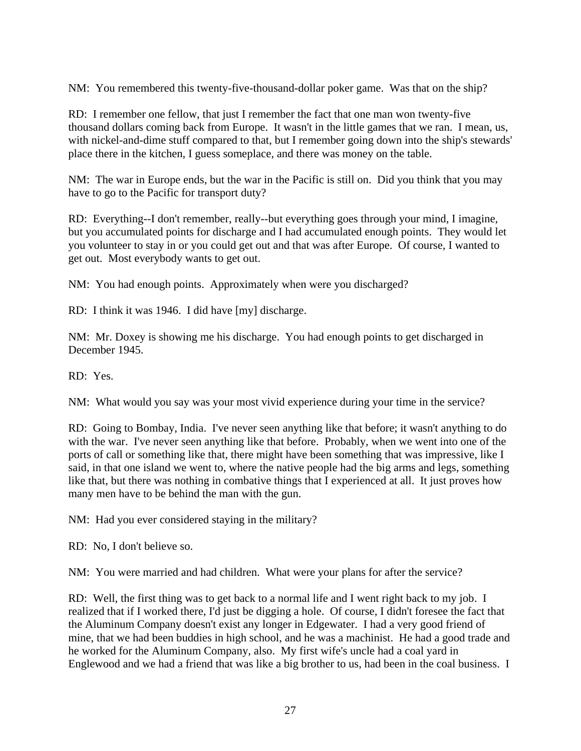NM: You remembered this twenty-five-thousand-dollar poker game. Was that on the ship?

RD: I remember one fellow, that just I remember the fact that one man won twenty-five thousand dollars coming back from Europe. It wasn't in the little games that we ran. I mean, us, with nickel-and-dime stuff compared to that, but I remember going down into the ship's stewards' place there in the kitchen, I guess someplace, and there was money on the table.

NM: The war in Europe ends, but the war in the Pacific is still on. Did you think that you may have to go to the Pacific for transport duty?

RD: Everything--I don't remember, really--but everything goes through your mind, I imagine, but you accumulated points for discharge and I had accumulated enough points. They would let you volunteer to stay in or you could get out and that was after Europe. Of course, I wanted to get out. Most everybody wants to get out.

NM: You had enough points. Approximately when were you discharged?

RD: I think it was 1946. I did have [my] discharge.

NM: Mr. Doxey is showing me his discharge. You had enough points to get discharged in December 1945.

RD: Yes.

NM: What would you say was your most vivid experience during your time in the service?

RD: Going to Bombay, India. I've never seen anything like that before; it wasn't anything to do with the war. I've never seen anything like that before. Probably, when we went into one of the ports of call or something like that, there might have been something that was impressive, like I said, in that one island we went to, where the native people had the big arms and legs, something like that, but there was nothing in combative things that I experienced at all. It just proves how many men have to be behind the man with the gun.

NM: Had you ever considered staying in the military?

RD: No, I don't believe so.

NM: You were married and had children. What were your plans for after the service?

RD: Well, the first thing was to get back to a normal life and I went right back to my job. I realized that if I worked there, I'd just be digging a hole. Of course, I didn't foresee the fact that the Aluminum Company doesn't exist any longer in Edgewater. I had a very good friend of mine, that we had been buddies in high school, and he was a machinist. He had a good trade and he worked for the Aluminum Company, also. My first wife's uncle had a coal yard in Englewood and we had a friend that was like a big brother to us, had been in the coal business. I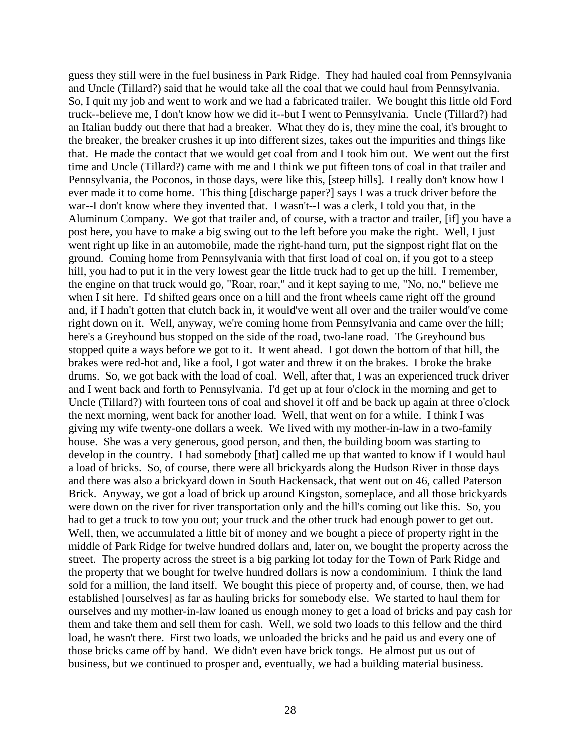guess they still were in the fuel business in Park Ridge. They had hauled coal from Pennsylvania and Uncle (Tillard?) said that he would take all the coal that we could haul from Pennsylvania. So, I quit my job and went to work and we had a fabricated trailer. We bought this little old Ford truck--believe me, I don't know how we did it--but I went to Pennsylvania. Uncle (Tillard?) had an Italian buddy out there that had a breaker. What they do is, they mine the coal, it's brought to the breaker, the breaker crushes it up into different sizes, takes out the impurities and things like that. He made the contact that we would get coal from and I took him out. We went out the first time and Uncle (Tillard?) came with me and I think we put fifteen tons of coal in that trailer and Pennsylvania, the Poconos, in those days, were like this, [steep hills]. I really don't know how I ever made it to come home. This thing [discharge paper?] says I was a truck driver before the war--I don't know where they invented that. I wasn't--I was a clerk, I told you that, in the Aluminum Company. We got that trailer and, of course, with a tractor and trailer, [if] you have a post here, you have to make a big swing out to the left before you make the right. Well, I just went right up like in an automobile, made the right-hand turn, put the signpost right flat on the ground. Coming home from Pennsylvania with that first load of coal on, if you got to a steep hill, you had to put it in the very lowest gear the little truck had to get up the hill. I remember, the engine on that truck would go, "Roar, roar," and it kept saying to me, "No, no," believe me when I sit here. I'd shifted gears once on a hill and the front wheels came right off the ground and, if I hadn't gotten that clutch back in, it would've went all over and the trailer would've come right down on it. Well, anyway, we're coming home from Pennsylvania and came over the hill; here's a Greyhound bus stopped on the side of the road, two-lane road. The Greyhound bus stopped quite a ways before we got to it. It went ahead. I got down the bottom of that hill, the brakes were red-hot and, like a fool, I got water and threw it on the brakes. I broke the brake drums. So, we got back with the load of coal. Well, after that, I was an experienced truck driver and I went back and forth to Pennsylvania. I'd get up at four o'clock in the morning and get to Uncle (Tillard?) with fourteen tons of coal and shovel it off and be back up again at three o'clock the next morning, went back for another load. Well, that went on for a while. I think I was giving my wife twenty-one dollars a week. We lived with my mother-in-law in a two-family house. She was a very generous, good person, and then, the building boom was starting to develop in the country. I had somebody [that] called me up that wanted to know if I would haul a load of bricks. So, of course, there were all brickyards along the Hudson River in those days and there was also a brickyard down in South Hackensack, that went out on 46, called Paterson Brick. Anyway, we got a load of brick up around Kingston, someplace, and all those brickyards were down on the river for river transportation only and the hill's coming out like this. So, you had to get a truck to tow you out; your truck and the other truck had enough power to get out. Well, then, we accumulated a little bit of money and we bought a piece of property right in the middle of Park Ridge for twelve hundred dollars and, later on, we bought the property across the street. The property across the street is a big parking lot today for the Town of Park Ridge and the property that we bought for twelve hundred dollars is now a condominium. I think the land sold for a million, the land itself. We bought this piece of property and, of course, then, we had established [ourselves] as far as hauling bricks for somebody else. We started to haul them for ourselves and my mother-in-law loaned us enough money to get a load of bricks and pay cash for them and take them and sell them for cash. Well, we sold two loads to this fellow and the third load, he wasn't there. First two loads, we unloaded the bricks and he paid us and every one of those bricks came off by hand. We didn't even have brick tongs. He almost put us out of business, but we continued to prosper and, eventually, we had a building material business.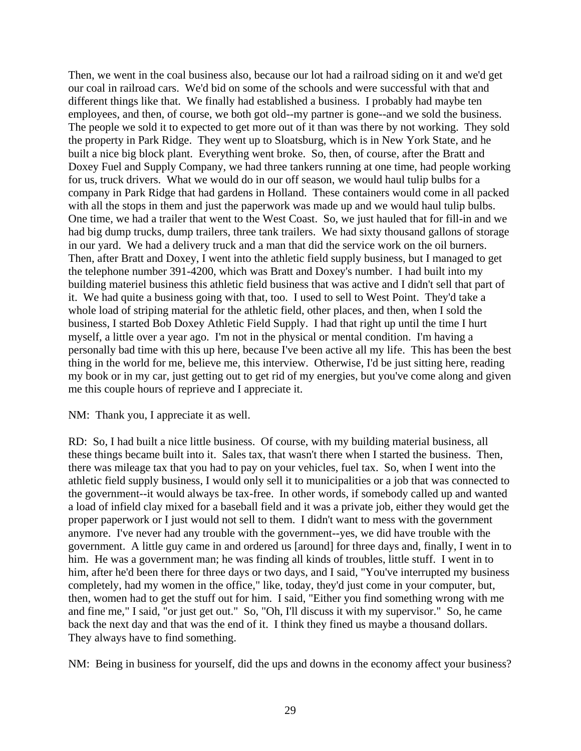Then, we went in the coal business also, because our lot had a railroad siding on it and we'd get our coal in railroad cars. We'd bid on some of the schools and were successful with that and different things like that. We finally had established a business. I probably had maybe ten employees, and then, of course, we both got old--my partner is gone--and we sold the business. The people we sold it to expected to get more out of it than was there by not working. They sold the property in Park Ridge. They went up to Sloatsburg, which is in New York State, and he built a nice big block plant. Everything went broke. So, then, of course, after the Bratt and Doxey Fuel and Supply Company, we had three tankers running at one time, had people working for us, truck drivers. What we would do in our off season, we would haul tulip bulbs for a company in Park Ridge that had gardens in Holland. These containers would come in all packed with all the stops in them and just the paperwork was made up and we would haul tulip bulbs. One time, we had a trailer that went to the West Coast. So, we just hauled that for fill-in and we had big dump trucks, dump trailers, three tank trailers. We had sixty thousand gallons of storage in our yard. We had a delivery truck and a man that did the service work on the oil burners. Then, after Bratt and Doxey, I went into the athletic field supply business, but I managed to get the telephone number 391-4200, which was Bratt and Doxey's number. I had built into my building materiel business this athletic field business that was active and I didn't sell that part of it. We had quite a business going with that, too. I used to sell to West Point. They'd take a whole load of striping material for the athletic field, other places, and then, when I sold the business, I started Bob Doxey Athletic Field Supply. I had that right up until the time I hurt myself, a little over a year ago. I'm not in the physical or mental condition. I'm having a personally bad time with this up here, because I've been active all my life. This has been the best thing in the world for me, believe me, this interview. Otherwise, I'd be just sitting here, reading my book or in my car, just getting out to get rid of my energies, but you've come along and given me this couple hours of reprieve and I appreciate it.

NM: Thank you, I appreciate it as well.

RD: So, I had built a nice little business. Of course, with my building material business, all these things became built into it. Sales tax, that wasn't there when I started the business. Then, there was mileage tax that you had to pay on your vehicles, fuel tax. So, when I went into the athletic field supply business, I would only sell it to municipalities or a job that was connected to the government--it would always be tax-free. In other words, if somebody called up and wanted a load of infield clay mixed for a baseball field and it was a private job, either they would get the proper paperwork or I just would not sell to them. I didn't want to mess with the government anymore. I've never had any trouble with the government--yes, we did have trouble with the government. A little guy came in and ordered us [around] for three days and, finally, I went in to him. He was a government man; he was finding all kinds of troubles, little stuff. I went in to him, after he'd been there for three days or two days, and I said, "You've interrupted my business completely, had my women in the office," like, today, they'd just come in your computer, but, then, women had to get the stuff out for him. I said, "Either you find something wrong with me and fine me," I said, "or just get out." So, "Oh, I'll discuss it with my supervisor." So, he came back the next day and that was the end of it. I think they fined us maybe a thousand dollars. They always have to find something.

NM: Being in business for yourself, did the ups and downs in the economy affect your business?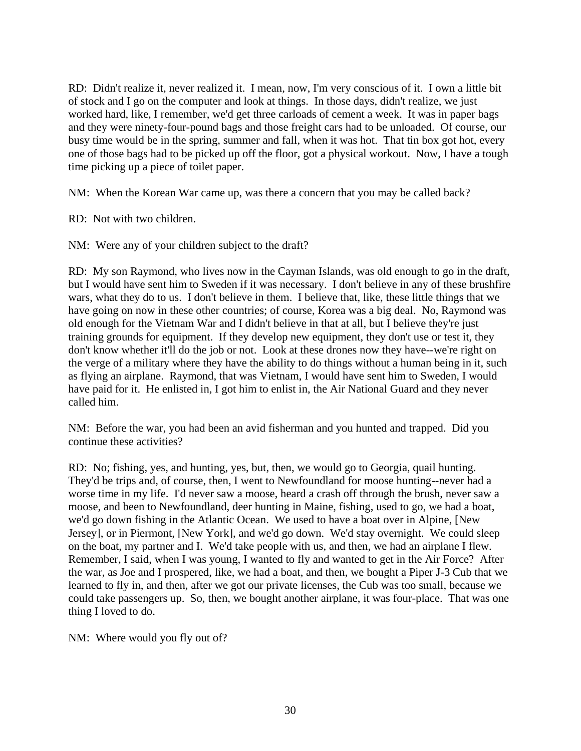RD: Didn't realize it, never realized it. I mean, now, I'm very conscious of it. I own a little bit of stock and I go on the computer and look at things. In those days, didn't realize, we just worked hard, like, I remember, we'd get three carloads of cement a week. It was in paper bags and they were ninety-four-pound bags and those freight cars had to be unloaded. Of course, our busy time would be in the spring, summer and fall, when it was hot. That tin box got hot, every one of those bags had to be picked up off the floor, got a physical workout. Now, I have a tough time picking up a piece of toilet paper.

NM: When the Korean War came up, was there a concern that you may be called back?

RD: Not with two children.

NM: Were any of your children subject to the draft?

RD: My son Raymond, who lives now in the Cayman Islands, was old enough to go in the draft, but I would have sent him to Sweden if it was necessary. I don't believe in any of these brushfire wars, what they do to us. I don't believe in them. I believe that, like, these little things that we have going on now in these other countries; of course, Korea was a big deal. No, Raymond was old enough for the Vietnam War and I didn't believe in that at all, but I believe they're just training grounds for equipment. If they develop new equipment, they don't use or test it, they don't know whether it'll do the job or not. Look at these drones now they have--we're right on the verge of a military where they have the ability to do things without a human being in it, such as flying an airplane. Raymond, that was Vietnam, I would have sent him to Sweden, I would have paid for it. He enlisted in, I got him to enlist in, the Air National Guard and they never called him.

NM: Before the war, you had been an avid fisherman and you hunted and trapped. Did you continue these activities?

RD: No; fishing, yes, and hunting, yes, but, then, we would go to Georgia, quail hunting. They'd be trips and, of course, then, I went to Newfoundland for moose hunting--never had a worse time in my life. I'd never saw a moose, heard a crash off through the brush, never saw a moose, and been to Newfoundland, deer hunting in Maine, fishing, used to go, we had a boat, we'd go down fishing in the Atlantic Ocean. We used to have a boat over in Alpine, [New Jersey], or in Piermont, [New York], and we'd go down. We'd stay overnight. We could sleep on the boat, my partner and I. We'd take people with us, and then, we had an airplane I flew. Remember, I said, when I was young, I wanted to fly and wanted to get in the Air Force? After the war, as Joe and I prospered, like, we had a boat, and then, we bought a Piper J-3 Cub that we learned to fly in, and then, after we got our private licenses, the Cub was too small, because we could take passengers up. So, then, we bought another airplane, it was four-place. That was one thing I loved to do.

NM: Where would you fly out of?